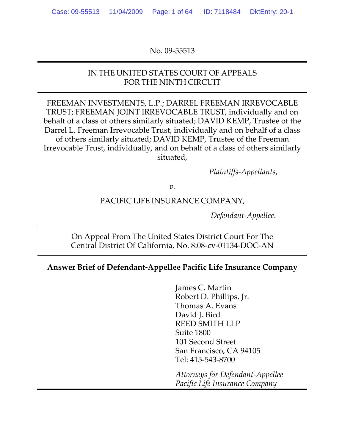### No. 09‐55513

### IN THE UNITED STATES COURT OF APPEALS FOR THE NINTH CIRCUIT

FREEMAN INVESTMENTS, L.P.; DARREL FREEMAN IRREVOCABLE TRUST; FREEMAN JOINT IRREVOCABLE TRUST, individually and on behalf of a class of others similarly situated; DAVID KEMP, Trustee of the Darrel L. Freeman Irrevocable Trust, individually and on behalf of a class of others similarly situated; DAVID KEMP, Trustee of the Freeman Irrevocable Trust, individually, and on behalf of a class of others similarly situated,

*Plaintiffs‐Appellants*,

*v.*

### PACIFIC LIFE INSURANCE COMPANY,

*Defendant‐Appellee*.

On Appeal From The United States District Court For The Central District Of California, No. 8:08‐cv‐01134‐DOC‐AN

### **Answer Brief of Defendant‐Appellee Pacific Life Insurance Company**

James C. Martin Robert D. Phillips, Jr. Thomas A. Evans David J. Bird REED SMITH LLP Suite 1800 101 Second Street San Francisco, CA 94105 Tel: 415‐543‐8700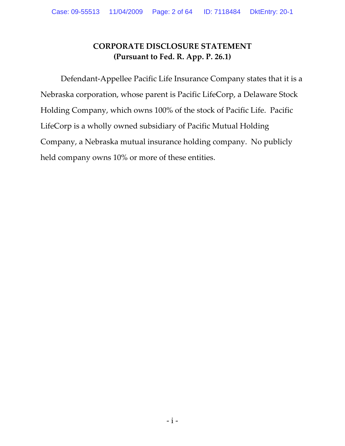### **CORPORATE DISCLOSURE STATEMENT (Pursuant to Fed. R. App. P. 26.1)**

Defendant‐Appellee Pacific Life Insurance Company states that it is a Nebraska corporation, whose parent is Pacific LifeCorp, a Delaware Stock Holding Company, which owns 100% of the stock of Pacific Life. Pacific LifeCorp is a wholly owned subsidiary of Pacific Mutual Holding Company, a Nebraska mutual insurance holding company. No publicly held company owns 10% or more of these entities.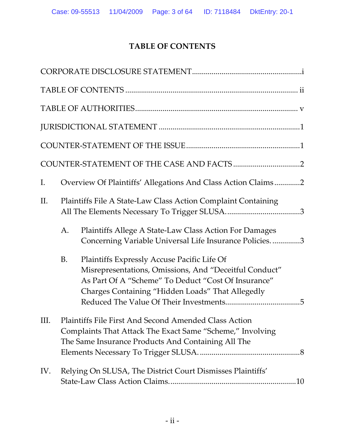# **TABLE OF CONTENTS**

| I.  |                                                               | Overview Of Plaintiffs' Allegations And Class Action Claims2                                                                                                                                                     |  |
|-----|---------------------------------------------------------------|------------------------------------------------------------------------------------------------------------------------------------------------------------------------------------------------------------------|--|
| Π.  | Plaintiffs File A State-Law Class Action Complaint Containing |                                                                                                                                                                                                                  |  |
|     | A.                                                            | Plaintiffs Allege A State-Law Class Action For Damages<br>Concerning Variable Universal Life Insurance Policies3                                                                                                 |  |
|     | <b>B.</b>                                                     | Plaintiffs Expressly Accuse Pacific Life Of<br>Misrepresentations, Omissions, And "Deceitful Conduct"<br>As Part Of A "Scheme" To Deduct "Cost Of Insurance"<br>Charges Containing "Hidden Loads" That Allegedly |  |
| Ш.  |                                                               | Plaintiffs File First And Second Amended Class Action<br>Complaints That Attack The Exact Same "Scheme," Involving<br>The Same Insurance Products And Containing All The                                         |  |
| IV. |                                                               | Relying On SLUSA, The District Court Dismisses Plaintiffs'                                                                                                                                                       |  |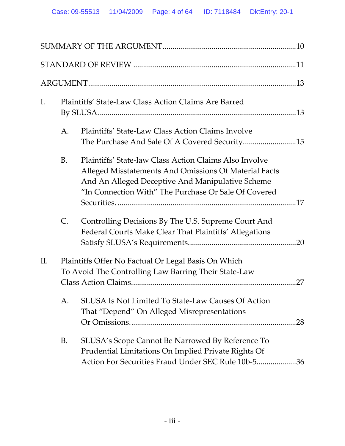| Ι.  |           | <b>Plaintiffs' State-Law Class Action Claims Are Barred</b>                                                                                                                                                                        |
|-----|-----------|------------------------------------------------------------------------------------------------------------------------------------------------------------------------------------------------------------------------------------|
|     | A.        | <b>Plaintiffs' State-Law Class Action Claims Involve</b><br>The Purchase And Sale Of A Covered Security15                                                                                                                          |
|     | <b>B.</b> | <b>Plaintiffs' State-law Class Action Claims Also Involve</b><br>Alleged Misstatements And Omissions Of Material Facts<br>And An Alleged Deceptive And Manipulative Scheme<br>"In Connection With" The Purchase Or Sale Of Covered |
|     | C.        | Controlling Decisions By The U.S. Supreme Court And<br>Federal Courts Make Clear That Plaintiffs' Allegations                                                                                                                      |
| II. |           | Plaintiffs Offer No Factual Or Legal Basis On Which<br>To Avoid The Controlling Law Barring Their State-Law<br>27                                                                                                                  |
|     | A.        | <b>SLUSA Is Not Limited To State-Law Causes Of Action</b><br>That "Depend" On Alleged Misrepresentations                                                                                                                           |
|     | B.        | SLUSA's Scope Cannot Be Narrowed By Reference To<br>Prudential Limitations On Implied Private Rights Of<br>Action For Securities Fraud Under SEC Rule 10b-536                                                                      |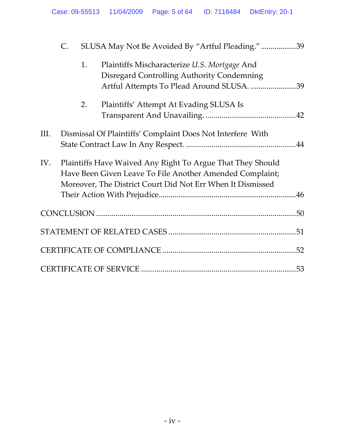|      | C. |    | SLUSA May Not Be Avoided By "Artful Pleading."39                                                                                                                                     |  |
|------|----|----|--------------------------------------------------------------------------------------------------------------------------------------------------------------------------------------|--|
|      |    | 1. | Plaintiffs Mischaracterize U.S. Mortgage And<br>Disregard Controlling Authority Condemning<br>Artful Attempts To Plead Around SLUSA. 39                                              |  |
|      |    | 2. | Plaintiffs' Attempt At Evading SLUSA Is                                                                                                                                              |  |
| III. |    |    | Dismissal Of Plaintiffs' Complaint Does Not Interfere With                                                                                                                           |  |
| IV.  |    |    | Plaintiffs Have Waived Any Right To Argue That They Should<br>Have Been Given Leave To File Another Amended Complaint;<br>Moreover, The District Court Did Not Err When It Dismissed |  |
|      |    |    |                                                                                                                                                                                      |  |
|      |    |    |                                                                                                                                                                                      |  |
|      |    |    |                                                                                                                                                                                      |  |
|      |    |    |                                                                                                                                                                                      |  |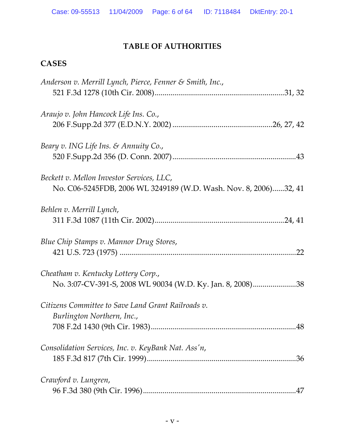### **TABLE OF AUTHORITIES**

# **CASES**

| Anderson v. Merrill Lynch, Pierce, Fenner & Smith, Inc.,                                                      |
|---------------------------------------------------------------------------------------------------------------|
| Araujo v. John Hancock Life Ins. Co.,                                                                         |
| Beary v. ING Life Ins. & Annuity Co.,                                                                         |
| Beckett v. Mellon Investor Services, LLC,<br>No. C06-5245FDB, 2006 WL 3249189 (W.D. Wash. Nov. 8, 2006)32, 41 |
| Behlen v. Merrill Lynch,                                                                                      |
| Blue Chip Stamps v. Mannor Drug Stores,<br>.22                                                                |
| Cheatham v. Kentucky Lottery Corp.,<br>No. 3:07-CV-391-S, 2008 WL 90034 (W.D. Ky. Jan. 8, 2008)38             |
| Citizens Committee to Save Land Grant Railroads v.<br>Burlington Northern, Inc.,<br>.48                       |
| Consolidation Services, Inc. v. KeyBank Nat. Ass'n,                                                           |
| Crawford v. Lungren,                                                                                          |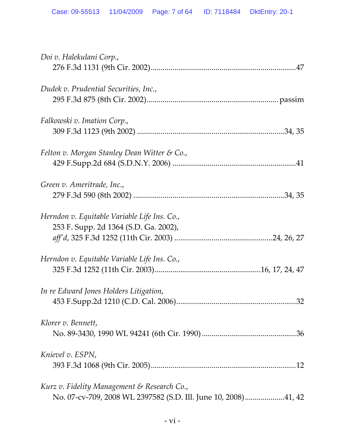| Doi v. Halekulani Corp.,                                                                                      |
|---------------------------------------------------------------------------------------------------------------|
| Dudek v. Prudential Securities, Inc.,                                                                         |
| Falkowski v. Imation Corp.,                                                                                   |
| Felton v. Morgan Stanley Dean Witter & Co.,                                                                   |
| Green v. Ameritrade, Inc.,                                                                                    |
| Herndon v. Equitable Variable Life Ins. Co.,<br>253 F. Supp. 2d 1364 (S.D. Ga. 2002),                         |
| Herndon v. Equitable Variable Life Ins. Co.,                                                                  |
| In re Edward Jones Holders Litigation,<br>.32                                                                 |
| Klorer v. Bennett,                                                                                            |
| Knievel v. ESPN,                                                                                              |
| Kurz v. Fidelity Management & Research Co.,<br>No. 07-cv-709, 2008 WL 2397582 (S.D. Ill. June 10, 2008)41, 42 |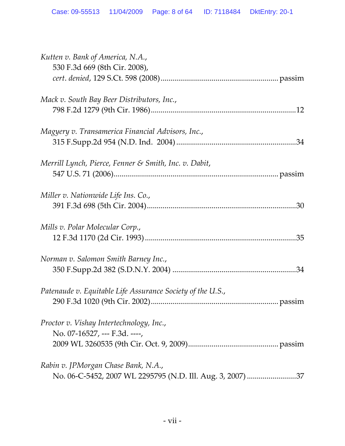| Kutten v. Bank of America, N.A.,<br>530 F.3d 669 (8th Cir. 2008), |
|-------------------------------------------------------------------|
|                                                                   |
| Mack v. South Bay Beer Distributors, Inc.,                        |
|                                                                   |
| Magyery v. Transamerica Financial Advisors, Inc.,                 |
|                                                                   |
| Merrill Lynch, Pierce, Fenner & Smith, Inc. v. Dabit,             |
|                                                                   |
| Miller v. Nationwide Life Ins. Co.,                               |
|                                                                   |
| Mills v. Polar Molecular Corp.,                                   |
|                                                                   |
| Norman v. Salomon Smith Barney Inc.,                              |
|                                                                   |
| Patenaude v. Equitable Life Assurance Society of the U.S.,        |
|                                                                   |
| Proctor v. Vishay Intertechnology, Inc.,                          |
| No. 07-16527, --- F.3d. ----,                                     |
|                                                                   |
| Rabin v. JPMorgan Chase Bank, N.A.,                               |
| No. 06-C-5452, 2007 WL 2295795 (N.D. Ill. Aug. 3, 2007) 37        |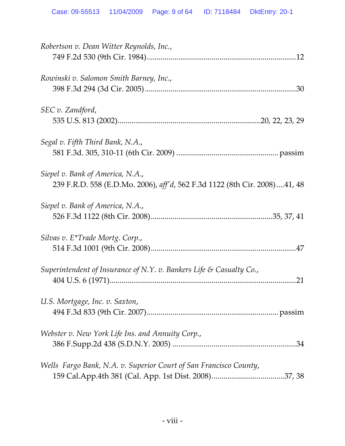| Robertson v. Dean Witter Reynolds, Inc.,                                                                      |
|---------------------------------------------------------------------------------------------------------------|
| Rowinski v. Salomon Smith Barney, Inc.,                                                                       |
| SEC v. Zandford,                                                                                              |
| Segal v. Fifth Third Bank, N.A.,                                                                              |
| Siepel v. Bank of America, N.A.,<br>239 F.R.D. 558 (E.D.Mo. 2006), aff'd, 562 F.3d 1122 (8th Cir. 2008)41, 48 |
| Siepel v. Bank of America, N.A.,                                                                              |
| Silvas v. E*Trade Mortg. Corp.,                                                                               |
| Superintendent of Insurance of N.Y. v. Bankers Life & Casualty Co.,<br>21                                     |
| U.S. Mortgage, Inc. v. Saxton,                                                                                |
| Webster v. New York Life Ins. and Annuity Corp.,                                                              |
| Wells Fargo Bank, N.A. v. Superior Court of San Francisco County,                                             |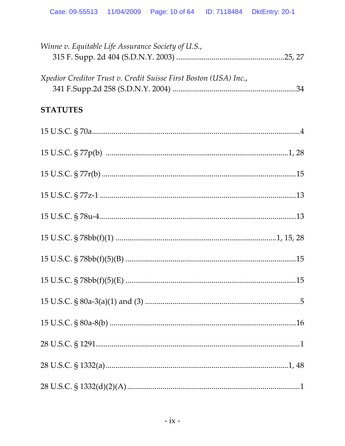| Winne v. Equitable Life Assurance Society of U.S.,               |
|------------------------------------------------------------------|
| Xpedior Creditor Trust v. Credit Suisse First Boston (USA) Inc., |
| <b>STATUTES</b>                                                  |
|                                                                  |
|                                                                  |
|                                                                  |
|                                                                  |
|                                                                  |
|                                                                  |
|                                                                  |
|                                                                  |
|                                                                  |
|                                                                  |
|                                                                  |
|                                                                  |
|                                                                  |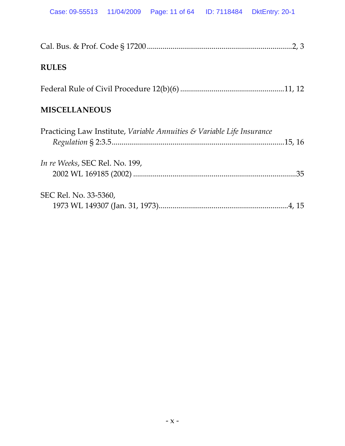|--|--|--|

# **RULES**

### **MISCELLANEOUS**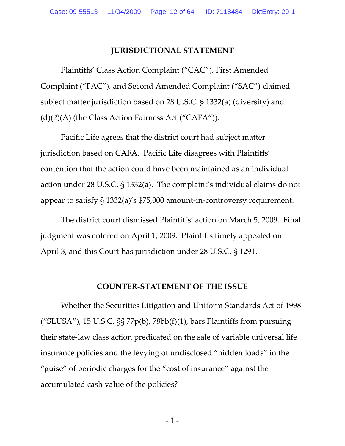#### **JURISDICTIONAL STATEMENT**

Plaintiffs' Class Action Complaint ("CAC"), First Amended Complaint ("FAC"), and Second Amended Complaint ("SAC") claimed subject matter jurisdiction based on 28 U.S.C. § 1332(a) (diversity) and  $(d)(2)(A)$  (the Class Action Fairness Act ("CAFA")).

Pacific Life agrees that the district court had subject matter jurisdiction based on CAFA. Pacific Life disagrees with Plaintiffs' contention that the action could have been maintained as an individual action under 28 U.S.C. § 1332(a). The complaint's individual claims do not appear to satisfy § 1332(a)'s \$75,000 amount‐in‐controversy requirement.

The district court dismissed Plaintiffs' action on March 5, 2009. Final judgment was entered on April 1, 2009. Plaintiffs timely appealed on April 3, and this Court has jurisdiction under 28 U.S.C. § 1291.

#### **COUNTER‐STATEMENT OF THE ISSUE**

Whether the Securities Litigation and Uniform Standards Act of 1998 ("SLUSA"), 15 U.S.C.  $\S$  77p(b), 78bb(f)(1), bars Plaintiffs from pursuing their state‐law class action predicated on the sale of variable universal life insurance policies and the levying of undisclosed "hidden loads" in the "guise" of periodic charges for the "cost of insurance" against the accumulated cash value of the policies?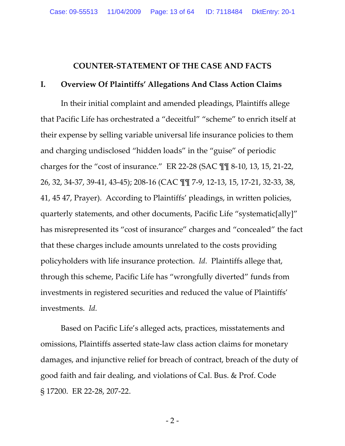#### **COUNTER‐STATEMENT OF THE CASE AND FACTS**

#### **I. Overview Of Plaintiffs' Allegations And Class Action Claims**

In their initial complaint and amended pleadings, Plaintiffs allege that Pacific Life has orchestrated a "deceitful" "scheme" to enrich itself at their expense by selling variable universal life insurance policies to them and charging undisclosed "hidden loads" in the "guise" of periodic charges for the "cost of insurance." ER 22‐28 (SAC ¶¶ 8‐10, 13, 15, 21‐22, 26, 32, 34‐37, 39‐41, 43‐45); 208‐16 (CAC ¶¶ 7‐9, 12‐13, 15, 17‐21, 32‐33, 38, 41, 45 47, Prayer). According to Plaintiffs' pleadings, in written policies, quarterly statements, and other documents, Pacific Life "systematic[ally]" has misrepresented its "cost of insurance" charges and "concealed" the fact that these charges include amounts unrelated to the costs providing policyholders with life insurance protection. *Id.* Plaintiffs allege that, through this scheme, Pacific Life has "wrongfully diverted" funds from investments in registered securities and reduced the value of Plaintiffs' investments. *Id.*

Based on Pacific Life's alleged acts, practices, misstatements and omissions, Plaintiffs asserted state‐law class action claims for monetary damages, and injunctive relief for breach of contract, breach of the duty of good faith and fair dealing, and violations of Cal. Bus. & Prof. Code § 17200. ER 22‐28, 207‐22.

 $-2-$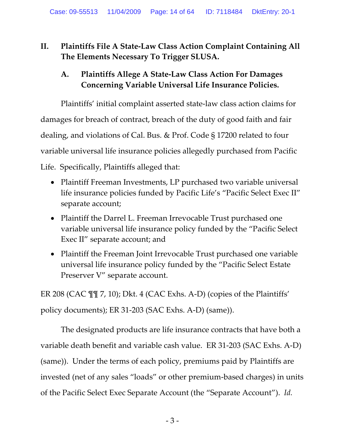# **II. Plaintiffs File A State‐Law Class Action Complaint Containing All The Elements Necessary To Trigger SLUSA.**

# **A. Plaintiffs Allege A State‐Law Class Action For Damages Concerning Variable Universal Life Insurance Policies.**

Plaintiffs' initial complaint asserted state‐law class action claims for damages for breach of contract, breach of the duty of good faith and fair dealing, and violations of Cal. Bus. & Prof. Code § 17200 related to four variable universal life insurance policies allegedly purchased from Pacific Life. Specifically, Plaintiffs alleged that:

- Plaintiff Freeman Investments, LP purchased two variable universal life insurance policies funded by Pacific Life's "Pacific Select Exec II" separate account;
- Plaintiff the Darrel L. Freeman Irrevocable Trust purchased one variable universal life insurance policy funded by the "Pacific Select Exec II" separate account; and
- Plaintiff the Freeman Joint Irrevocable Trust purchased one variable universal life insurance policy funded by the "Pacific Select Estate Preserver V" separate account.

ER 208 (CAC ¶¶ 7, 10); Dkt. 4 (CAC Exhs. A‐D) (copies of the Plaintiffs' policy documents); ER 31‐203 (SAC Exhs. A‐D) (same)).

The designated products are life insurance contracts that have both a variable death benefit and variable cash value. ER 31‐203 (SAC Exhs. A‐D) (same)). Under the terms of each policy, premiums paid by Plaintiffs are invested (net of any sales "loads" or other premium‐based charges) in units of the Pacific Select Exec Separate Account (the "Separate Account"). *Id.*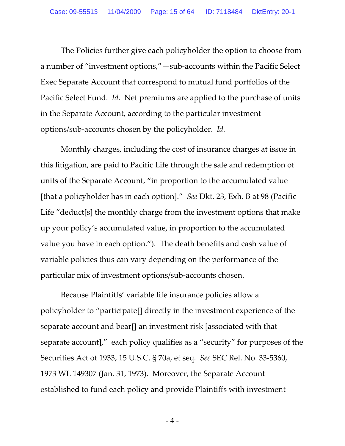The Policies further give each policyholder the option to choose from a number of "investment options,"—sub‐accounts within the Pacific Select Exec Separate Account that correspond to mutual fund portfolios of the Pacific Select Fund. *Id.* Net premiums are applied to the purchase of units in the Separate Account, according to the particular investment options/sub‐accounts chosen by the policyholder. *Id.*

Monthly charges, including the cost of insurance charges at issue in this litigation, are paid to Pacific Life through the sale and redemption of units of the Separate Account, "in proportion to the accumulated value [that a policyholder has in each option]." *See* Dkt. 23, Exh. B at 98 (Pacific Life "deduct[s] the monthly charge from the investment options that make up your policy's accumulated value, in proportion to the accumulated value you have in each option."). The death benefits and cash value of variable policies thus can vary depending on the performance of the particular mix of investment options/sub‐accounts chosen.

Because Plaintiffs' variable life insurance policies allow a policyholder to "participate[] directly in the investment experience of the separate account and bear[] an investment risk [associated with that separate account]," each policy qualifies as a "security" for purposes of the Securities Act of 1933, 15 U.S.C. § 70a, et seq. *See* SEC Rel. No. 33‐5360, 1973 WL 149307 (Jan. 31, 1973). Moreover, the Separate Account established to fund each policy and provide Plaintiffs with investment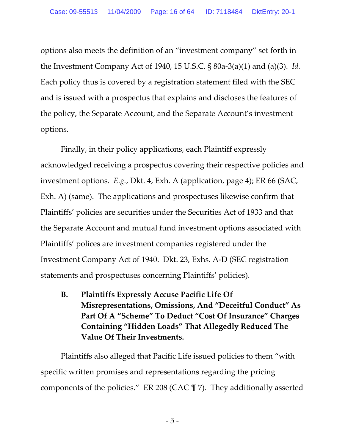options also meets the definition of an "investment company" set forth in the Investment Company Act of 1940, 15 U.S.C. § 80a‐3(a)(1) and (a)(3). *Id.*  Each policy thus is covered by a registration statement filed with the SEC and is issued with a prospectus that explains and discloses the features of the policy, the Separate Account, and the Separate Account's investment options.

Finally, in their policy applications, each Plaintiff expressly acknowledged receiving a prospectus covering their respective policies and investment options. *E.g.*, Dkt. 4, Exh. A (application, page 4); ER 66 (SAC, Exh. A) (same). The applications and prospectuses likewise confirm that Plaintiffs' policies are securities under the Securities Act of 1933 and that the Separate Account and mutual fund investment options associated with Plaintiffs' polices are investment companies registered under the Investment Company Act of 1940. Dkt. 23, Exhs. A‐D (SEC registration statements and prospectuses concerning Plaintiffs' policies).

**B. Plaintiffs Expressly Accuse Pacific Life Of Misrepresentations, Omissions, And "Deceitful Conduct" As Part Of A "Scheme" To Deduct "Cost Of Insurance" Charges Containing "Hidden Loads" That Allegedly Reduced The Value Of Their Investments.**

Plaintiffs also alleged that Pacific Life issued policies to them "with specific written promises and representations regarding the pricing components of the policies." ER 208 (CAC ¶ 7). They additionally asserted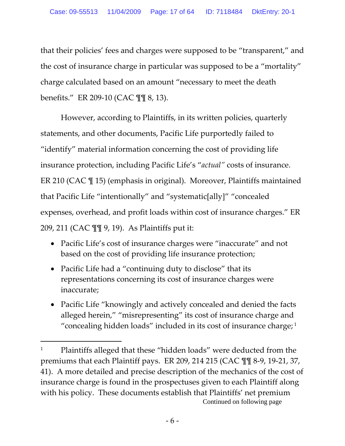that their policies' fees and charges were supposed to be "transparent," and the cost of insurance charge in particular was supposed to be a "mortality" charge calculated based on an amount "necessary to meet the death benefits." ER 209‐10 (CAC ¶¶ 8, 13).

However, according to Plaintiffs, in its written policies, quarterly statements, and other documents, Pacific Life purportedly failed to "identify" material information concerning the cost of providing life insurance protection, including Pacific Life's "*actual"* costs of insurance. ER 210 (CAC ¶ 15) (emphasis in original). Moreover, Plaintiffs maintained that Pacific Life "intentionally" and "systematic[ally]" "concealed expenses, overhead, and profit loads within cost of insurance charges." ER 209, 211 (CAC ¶¶ 9, 19). As Plaintiffs put it:

- Pacific Life's cost of insurance charges were "inaccurate" and not based on the cost of providing life insurance protection;
- Pacific Life had a "continuing duty to disclose" that its representations concerning its cost of insurance charges were inaccurate;

 $\overline{a}$ 

• Pacific Life "knowingly and actively concealed and denied the facts alleged herein," "misrepresenting" its cost of insurance charge and "concealing hidden loads" included in its cost of insurance charge;<sup>1</sup>

<sup>&</sup>lt;sup>1</sup> Plaintiffs alleged that these "hidden loads" were deducted from the premiums that each Plaintiff pays. ER 209, 214 215 (CAC ¶¶ 8‐9, 19‐21, 37, 41). A more detailed and precise description of the mechanics of the cost of insurance charge is found in the prospectuses given to each Plaintiff along with his policy. These documents establish that Plaintiffs' net premium Continued on following page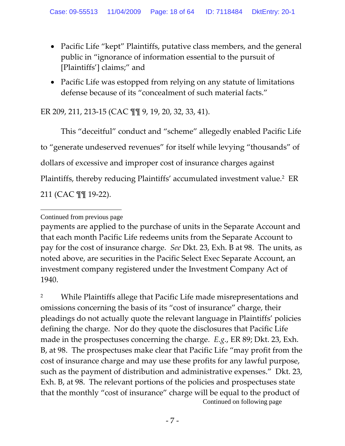- Pacific Life "kept" Plaintiffs, putative class members, and the general public in "ignorance of information essential to the pursuit of [Plaintiffs'] claims;" and
- Pacific Life was estopped from relying on any statute of limitations defense because of its "concealment of such material facts."

# ER 209, 211, 213‐15 (CAC ¶¶ 9, 19, 20, 32, 33, 41).

This "deceitful" conduct and "scheme" allegedly enabled Pacific Life to "generate undeserved revenues" for itself while levying "thousands" of dollars of excessive and improper cost of insurance charges against Plaintiffs, thereby reducing Plaintiffs' accumulated investment value.2 ER 211 (CAC ¶¶ 19‐22).

<sup>2</sup> While Plaintiffs allege that Pacific Life made misrepresentations and omissions concerning the basis of its "cost of insurance" charge, their pleadings do not actually quote the relevant language in Plaintiffs' policies defining the charge. Nor do they quote the disclosures that Pacific Life made in the prospectuses concerning the charge. *E.g.*, ER 89; Dkt. 23, Exh. B, at 98. The prospectuses make clear that Pacific Life "may profit from the cost of insurance charge and may use these profits for any lawful purpose, such as the payment of distribution and administrative expenses." Dkt. 23, Exh. B, at 98. The relevant portions of the policies and prospectuses state that the monthly "cost of insurance" charge will be equal to the product of Continued on following page

 $\overline{a}$ Continued from previous page

payments are applied to the purchase of units in the Separate Account and that each month Pacific Life redeems units from the Separate Account to pay for the cost of insurance charge. *See* Dkt. 23, Exh. B at 98. The units, as noted above, are securities in the Pacific Select Exec Separate Account, an investment company registered under the Investment Company Act of 1940.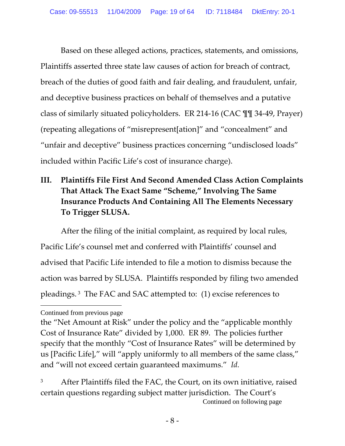Based on these alleged actions, practices, statements, and omissions, Plaintiffs asserted three state law causes of action for breach of contract, breach of the duties of good faith and fair dealing, and fraudulent, unfair, and deceptive business practices on behalf of themselves and a putative class of similarly situated policyholders. ER 214‐16 (CAC ¶¶ 34‐49, Prayer) (repeating allegations of "misrepresent[ation]" and "concealment" and "unfair and deceptive" business practices concerning "undisclosed loads" included within Pacific Life's cost of insurance charge).

# **III. Plaintiffs File First And Second Amended Class Action Complaints That Attack The Exact Same "Scheme," Involving The Same Insurance Products And Containing All The Elements Necessary To Trigger SLUSA.**

After the filing of the initial complaint, as required by local rules, Pacific Life's counsel met and conferred with Plaintiffs' counsel and advised that Pacific Life intended to file a motion to dismiss because the action was barred by SLUSA. Plaintiffs responded by filing two amended pleadings. <sup>3</sup> The FAC and SAC attempted to: (1) excise references to

 $\overline{a}$ Continued from previous page

the "Net Amount at Risk" under the policy and the "applicable monthly Cost of Insurance Rate" divided by 1,000. ER 89. The policies further specify that the monthly "Cost of Insurance Rates" will be determined by us [Pacific Life]," will "apply uniformly to all members of the same class," and "will not exceed certain guaranteed maximums." *Id.*

<sup>&</sup>lt;sup>3</sup> After Plaintiffs filed the FAC, the Court, on its own initiative, raised certain questions regarding subject matter jurisdiction. The Court's Continued on following page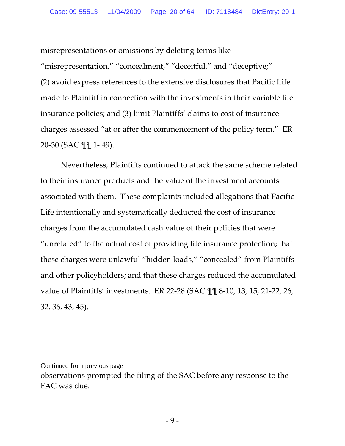misrepresentations or omissions by deleting terms like "misrepresentation," "concealment," "deceitful," and "deceptive;" (2) avoid express references to the extensive disclosures that Pacific Life made to Plaintiff in connection with the investments in their variable life insurance policies; and (3) limit Plaintiffs' claims to cost of insurance charges assessed "at or after the commencement of the policy term." ER 20‐30 (SAC ¶¶ 1‐ 49).

Nevertheless, Plaintiffs continued to attack the same scheme related to their insurance products and the value of the investment accounts associated with them. These complaints included allegations that Pacific Life intentionally and systematically deducted the cost of insurance charges from the accumulated cash value of their policies that were "unrelated" to the actual cost of providing life insurance protection; that these charges were unlawful "hidden loads," "concealed" from Plaintiffs and other policyholders; and that these charges reduced the accumulated value of Plaintiffs' investments. ER 22‐28 (SAC ¶¶ 8‐10, 13, 15, 21‐22, 26, 32, 36, 43, 45).

Continued from previous page

observations prompted the filing of the SAC before any response to the FAC was due.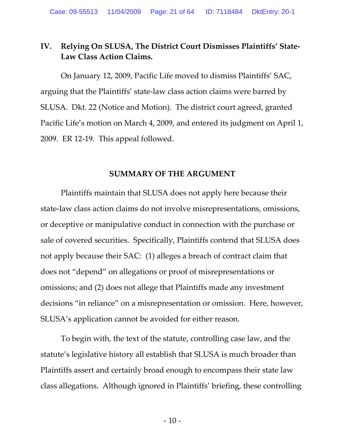### **IV. Relying On SLUSA, The District Court Dismisses Plaintiffs' State‐ Law Class Action Claims.**

On January 12, 2009, Pacific Life moved to dismiss Plaintiffs' SAC, arguing that the Plaintiffs' state‐law class action claims were barred by SLUSA. Dkt. 22 (Notice and Motion). The district court agreed, granted Pacific Life's motion on March 4, 2009, and entered its judgment on April 1, 2009. ER 12‐19. This appeal followed.

#### **SUMMARY OF THE ARGUMENT**

Plaintiffs maintain that SLUSA does not apply here because their state-law class action claims do not involve misrepresentations, omissions, or deceptive or manipulative conduct in connection with the purchase or sale of covered securities. Specifically, Plaintiffs contend that SLUSA does not apply because their SAC: (1) alleges a breach of contract claim that does not "depend" on allegations or proof of misrepresentations or omissions; and (2) does not allege that Plaintiffs made any investment decisions "in reliance" on a misrepresentation or omission. Here, however, SLUSA's application cannot be avoided for either reason.

To begin with, the text of the statute, controlling case law, and the statute's legislative history all establish that SLUSA is much broader than Plaintiffs assert and certainly broad enough to encompass their state law class allegations. Although ignored in Plaintiffs' briefing, these controlling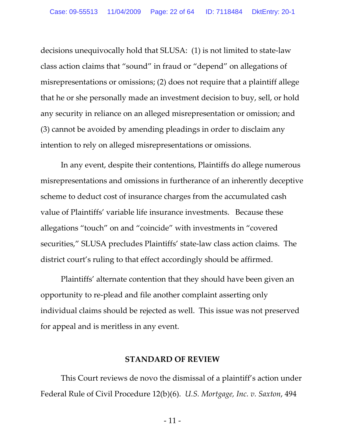decisions unequivocally hold that SLUSA: (1) is not limited to state‐law class action claims that "sound" in fraud or "depend" on allegations of misrepresentations or omissions; (2) does not require that a plaintiff allege that he or she personally made an investment decision to buy, sell, or hold any security in reliance on an alleged misrepresentation or omission; and (3) cannot be avoided by amending pleadings in order to disclaim any intention to rely on alleged misrepresentations or omissions.

In any event, despite their contentions, Plaintiffs do allege numerous misrepresentations and omissions in furtherance of an inherently deceptive scheme to deduct cost of insurance charges from the accumulated cash value of Plaintiffs' variable life insurance investments. Because these allegations "touch" on and "coincide" with investments in "covered securities," SLUSA precludes Plaintiffs' state‐law class action claims. The district court's ruling to that effect accordingly should be affirmed.

Plaintiffs' alternate contention that they should have been given an opportunity to re‐plead and file another complaint asserting only individual claims should be rejected as well. This issue was not preserved for appeal and is meritless in any event.

#### **STANDARD OF REVIEW**

This Court reviews de novo the dismissal of a plaintiff's action under Federal Rule of Civil Procedure 12(b)(6). *U.S. Mortgage, Inc. v. Saxton*, 494

 $-11-$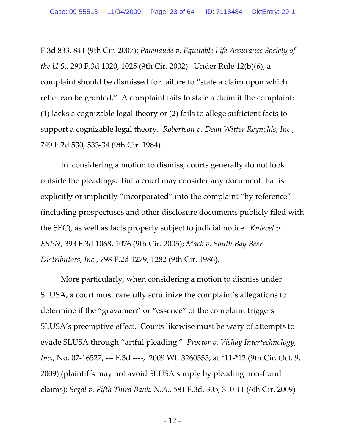F.3d 833, 841 (9th Cir. 2007); *Patenaude v. Equitable Life Assurance Society of the U.S.*, 290 F.3d 1020, 1025 (9th Cir. 2002). Under Rule 12(b)(6), a complaint should be dismissed for failure to "state a claim upon which relief can be granted." A complaint fails to state a claim if the complaint: (1) lacks a cognizable legal theory or (2) fails to allege sufficient facts to support a cognizable legal theory. *Robertson v. Dean Witter Reynolds, Inc.*, 749 F.2d 530, 533‐34 (9th Cir. 1984).

In considering a motion to dismiss, courts generally do not look outside the pleadings. But a court may consider any document that is explicitly or implicitly "incorporated" into the complaint "by reference" (including prospectuses and other disclosure documents publicly filed with the SEC), as well as facts properly subject to judicial notice. *Knievel v. ESPN*, 393 F.3d 1068, 1076 (9th Cir. 2005); *Mack v. South Bay Beer Distributors, Inc.*, 798 F.2d 1279, 1282 (9th Cir. 1986).

More particularly, when considering a motion to dismiss under SLUSA, a court must carefully scrutinize the complaint's allegations to determine if the "gravamen" or "essence" of the complaint triggers SLUSA's preemptive effect. Courts likewise must be wary of attempts to evade SLUSA through "artful pleading." *Proctor v. Vishay Intertechnology, Inc.*, No. 07-16527, --- F.3d ----, 2009 WL 3260535, at \*11-\*12 (9th Cir. Oct. 9, 2009) (plaintiffs may not avoid SLUSA simply by pleading non‐fraud claims); *Segal v. Fifth Third Bank, N.A.*, 581 F.3d. 305, 310‐11 (6th Cir. 2009)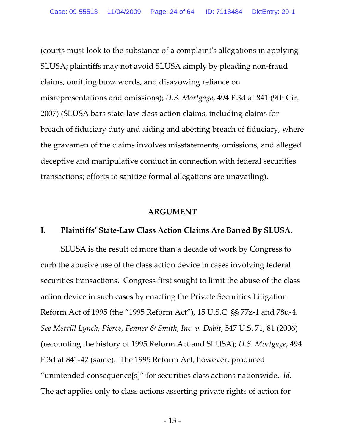(courts must look to the substance of a complaintʹs allegations in applying SLUSA; plaintiffs may not avoid SLUSA simply by pleading non‐fraud claims, omitting buzz words, and disavowing reliance on misrepresentations and omissions); *U.S. Mortgage*, 494 F.3d at 841 (9th Cir. 2007) (SLUSA bars state‐law class action claims, including claims for breach of fiduciary duty and aiding and abetting breach of fiduciary, where the gravamen of the claims involves misstatements, omissions, and alleged deceptive and manipulative conduct in connection with federal securities transactions; efforts to sanitize formal allegations are unavailing).

#### **ARGUMENT**

### **I. Plaintiffs' State‐Law Class Action Claims Are Barred By SLUSA.**

SLUSA is the result of more than a decade of work by Congress to curb the abusive use of the class action device in cases involving federal securities transactions. Congress first sought to limit the abuse of the class action device in such cases by enacting the Private Securities Litigation Reform Act of 1995 (the "1995 Reform Act"), 15 U.S.C. §§ 77z‐1 and 78u‐4. *See Merrill Lynch, Pierce, Fenner & Smith, Inc. v. Dabit*, 547 U.S. 71, 81 (2006) (recounting the history of 1995 Reform Act and SLUSA); *U.S. Mortgage*, 494 F.3d at 841‐42 (same). The 1995 Reform Act, however, produced "unintended consequence[s]" for securities class actions nationwide. *Id.* The act applies only to class actions asserting private rights of action for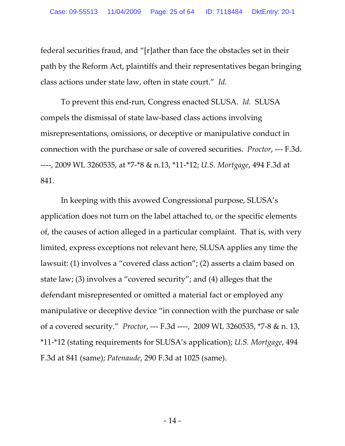federal securities fraud, and "[r]ather than face the obstacles set in their path by the Reform Act, plaintiffs and their representatives began bringing class actions under state law, often in state court." *Id.*

To prevent this end‐run, Congress enacted SLUSA. *Id.* SLUSA compels the dismissal of state law‐based class actions involving misrepresentations, omissions, or deceptive or manipulative conduct in connection with the purchase or sale of covered securities. *Proctor*, ‐‐‐ F.3d. ‐‐‐‐, 2009 WL 3260535, at \*7‐\*8 & n.13, \*11‐\*12; *U.S. Mortgage*, 494 F.3d at 841.

In keeping with this avowed Congressional purpose, SLUSA's application does not turn on the label attached to, or the specific elements of, the causes of action alleged in a particular complaint. That is, with very limited, express exceptions not relevant here, SLUSA applies any time the lawsuit: (1) involves a "covered class action"; (2) asserts a claim based on state law; (3) involves a "covered security"; and (4) alleges that the defendant misrepresented or omitted a material fact or employed any manipulative or deceptive device "in connection with the purchase or sale of a covered security." *Proctor*, ‐‐‐ F.3d ‐‐‐‐, 2009 WL 3260535, \*7‐8 & n. 13, \*11‐\*12 (stating requirements for SLUSA's application); *U.S. Mortgage*, 494 F.3d at 841 (same); *Patenaude*, 290 F.3d at 1025 (same).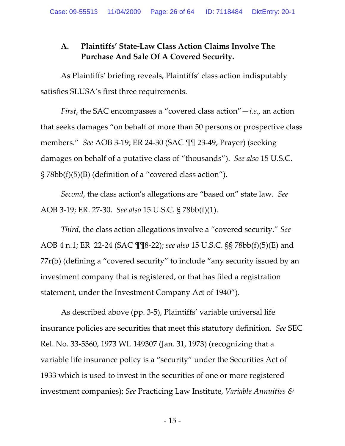# **A. Plaintiffs' State‐Law Class Action Claims Involve The Purchase And Sale Of A Covered Security.**

As Plaintiffs' briefing reveals, Plaintiffs' class action indisputably satisfies SLUSA's first three requirements.

*First*, the SAC encompasses a "covered class action"—*i.e.*, an action that seeks damages "on behalf of more than 50 persons or prospective class members." *See* AOB 3‐19; ER 24‐30 (SAC ¶¶ 23‐49, Prayer) (seeking damages on behalf of a putative class of "thousands"). *See also* 15 U.S.C. § 78bb(f)(5)(B) (definition of a "covered class action").

*Second*, the class action's allegations are "based on" state law. *See* AOB 3‐19; ER. 27‐30. *See also* 15 U.S.C. § 78bb(f)(1).

*Third*, the class action allegations involve a "covered security." *See* AOB 4 n.1; ER 22‐24 (SAC ¶¶8‐22); *see also* 15 U.S.C. §§ 78bb(f)(5)(E) and 77r(b) (defining a "covered security" to include "any security issued by an investment company that is registered, or that has filed a registration statement, under the Investment Company Act of 1940").

As described above (pp. 3‐5), Plaintiffs' variable universal life insurance policies are securities that meet this statutory definition. *See* SEC Rel. No. 33‐5360, 1973 WL 149307 (Jan. 31, 1973) (recognizing that a variable life insurance policy is a "security" under the Securities Act of 1933 which is used to invest in the securities of one or more registered investment companies); *See* Practicing Law Institute, *Variable Annuities &*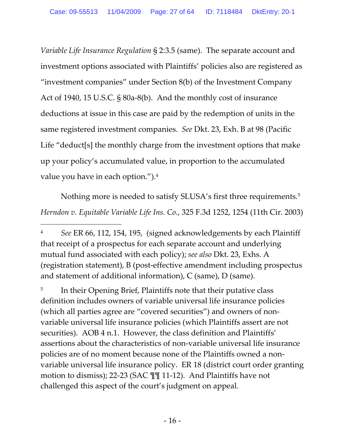*Variable Life Insurance Regulation* § 2:3.5 (same). The separate account and investment options associated with Plaintiffs' policies also are registered as "investment companies" under Section 8(b) of the Investment Company Act of 1940, 15 U.S.C. § 80a‐8(b). And the monthly cost of insurance deductions at issue in this case are paid by the redemption of units in the same registered investment companies. *See* Dkt. 23, Exh. B at 98 (Pacific Life "deduct[s] the monthly charge from the investment options that make up your policy's accumulated value, in proportion to the accumulated value you have in each option.").4

Nothing more is needed to satisfy SLUSA's first three requirements.<sup>5</sup> *Herndon v. Equitable Variable Life Ins. Co.*, 325 F.3d 1252, 1254 (11th Cir. 2003)

 $\overline{a}$ 

<sup>5</sup> In their Opening Brief, Plaintiffs note that their putative class definition includes owners of variable universal life insurance policies (which all parties agree are "covered securities") and owners of non‐ variable universal life insurance policies (which Plaintiffs assert are not securities). AOB 4 n.1. However, the class definition and Plaintiffs' assertions about the characteristics of non‐variable universal life insurance policies are of no moment because none of the Plaintiffs owned a non‐ variable universal life insurance policy. ER 18 (district court order granting motion to dismiss); 22‐23 (SAC ¶¶ 11‐12). And Plaintiffs have not challenged this aspect of the court's judgment on appeal.

<sup>4</sup> *See* ER 66, 112, 154, 195, (signed acknowledgements by each Plaintiff that receipt of a prospectus for each separate account and underlying mutual fund associated with each policy); *see also* Dkt. 23, Exhs. A (registration statement), B (post‐effective amendment including prospectus and statement of additional information), C (same), D (same).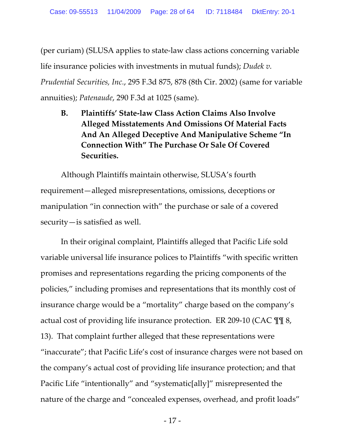(per curiam) (SLUSA applies to state‐law class actions concerning variable life insurance policies with investments in mutual funds); *Dudek v. Prudential Securities, Inc.*, 295 F.3d 875, 878 (8th Cir. 2002) (same for variable annuities); *Patenaude*, 290 F.3d at 1025 (same).

**B. Plaintiffs' State‐law Class Action Claims Also Involve Alleged Misstatements And Omissions Of Material Facts And An Alleged Deceptive And Manipulative Scheme "In Connection With" The Purchase Or Sale Of Covered Securities.**

Although Plaintiffs maintain otherwise, SLUSA's fourth requirement—alleged misrepresentations, omissions, deceptions or manipulation "in connection with" the purchase or sale of a covered security—is satisfied as well.

In their original complaint, Plaintiffs alleged that Pacific Life sold variable universal life insurance polices to Plaintiffs "with specific written promises and representations regarding the pricing components of the policies," including promises and representations that its monthly cost of insurance charge would be a "mortality" charge based on the company's actual cost of providing life insurance protection. ER 209-10 (CAC  $\mathbb{T}$  18, 13). That complaint further alleged that these representations were "inaccurate"; that Pacific Life's cost of insurance charges were not based on the company's actual cost of providing life insurance protection; and that Pacific Life "intentionally" and "systematic[ally]" misrepresented the nature of the charge and "concealed expenses, overhead, and profit loads"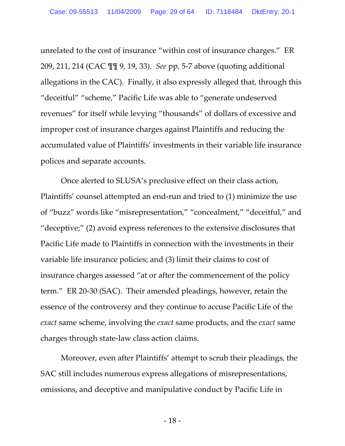unrelated to the cost of insurance "within cost of insurance charges." ER 209, 211, 214 (CAC ¶¶ 9, 19, 33). *See* pp. 5‐7 above (quoting additional allegations in the CAC). Finally, it also expressly alleged that, through this "deceitful" "scheme," Pacific Life was able to "generate undeserved revenues" for itself while levying "thousands" of dollars of excessive and improper cost of insurance charges against Plaintiffs and reducing the accumulated value of Plaintiffs' investments in their variable life insurance polices and separate accounts.

Once alerted to SLUSA's preclusive effect on their class action, Plaintiffs' counsel attempted an end‐run and tried to (1) minimize the use of "buzz" words like "misrepresentation," "concealment," "deceitful," and "deceptive;" (2) avoid express references to the extensive disclosures that Pacific Life made to Plaintiffs in connection with the investments in their variable life insurance policies; and (3) limit their claims to cost of insurance charges assessed "at or after the commencement of the policy term." ER 20‐30 (SAC). Their amended pleadings, however, retain the essence of the controversy and they continue to accuse Pacific Life of the *exact* same scheme, involving the *exact* same products, and the *exact* same charges through state‐law class action claims.

Moreover, even after Plaintiffs' attempt to scrub their pleadings, the SAC still includes numerous express allegations of misrepresentations, omissions, and deceptive and manipulative conduct by Pacific Life in

 $-18-$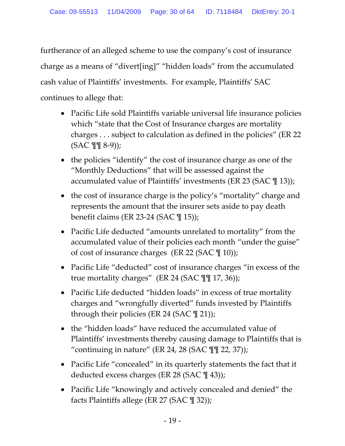furtherance of an alleged scheme to use the company's cost of insurance charge as a means of "divert[ing]" "hidden loads" from the accumulated cash value of Plaintiffs' investments. For example, Plaintiffs' SAC continues to allege that:

- Pacific Life sold Plaintiffs variable universal life insurance policies which "state that the Cost of Insurance charges are mortality charges . . . subject to calculation as defined in the policies" (ER 22 (SAC ¶¶ 8‐9));
- the policies "identify" the cost of insurance charge as one of the "Monthly Deductions" that will be assessed against the accumulated value of Plaintiffs' investments (ER 23 (SAC ¶ 13));
- the cost of insurance charge is the policy's "mortality" charge and represents the amount that the insurer sets aside to pay death benefit claims (ER 23‐24 (SAC ¶ 15));
- Pacific Life deducted "amounts unrelated to mortality" from the accumulated value of their policies each month "under the guise" of cost of insurance charges (ER 22 (SAC ¶ 10));
- Pacific Life "deducted" cost of insurance charges "in excess of the true mortality charges" (ER 24 (SAC ¶¶ 17, 36));
- Pacific Life deducted "hidden loads" in excess of true mortality charges and "wrongfully diverted" funds invested by Plaintiffs through their policies (ER 24 (SAC ¶ 21));
- the "hidden loads" have reduced the accumulated value of Plaintiffs' investments thereby causing damage to Plaintiffs that is "continuing in nature" (ER 24, 28 (SAC  $\P$  $\P$  22, 37));
- Pacific Life "concealed" in its quarterly statements the fact that it deducted excess charges (ER 28 (SAC \[[ 43));
- Pacific Life "knowingly and actively concealed and denied" the facts Plaintiffs allege (ER 27 (SAC ¶ 32));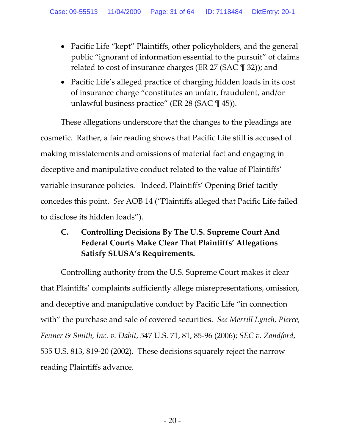- Pacific Life "kept" Plaintiffs, other policyholders, and the general public "ignorant of information essential to the pursuit" of claims related to cost of insurance charges (ER 27 (SAC ¶ 32)); and
- Pacific Life's alleged practice of charging hidden loads in its cost of insurance charge "constitutes an unfair, fraudulent, and/or unlawful business practice" (ER 28 (SAC  $\P$  45)).

These allegations underscore that the changes to the pleadings are cosmetic. Rather, a fair reading shows that Pacific Life still is accused of making misstatements and omissions of material fact and engaging in deceptive and manipulative conduct related to the value of Plaintiffs' variable insurance policies. Indeed, Plaintiffs' Opening Brief tacitly concedes this point. *See* AOB 14 ("Plaintiffs alleged that Pacific Life failed to disclose its hidden loads").

# **C. Controlling Decisions By The U.S. Supreme Court And Federal Courts Make Clear That Plaintiffs' Allegations Satisfy SLUSA's Requirements.**

Controlling authority from the U.S. Supreme Court makes it clear that Plaintiffs' complaints sufficiently allege misrepresentations, omission, and deceptive and manipulative conduct by Pacific Life "in connection with" the purchase and sale of covered securities. *See Merrill Lynch, Pierce, Fenner & Smith, Inc. v. Dabit*, 547 U.S. 71, 81, 85‐96 (2006); *SEC v. Zandford*, 535 U.S. 813, 819‐20 (2002). These decisions squarely reject the narrow reading Plaintiffs advance.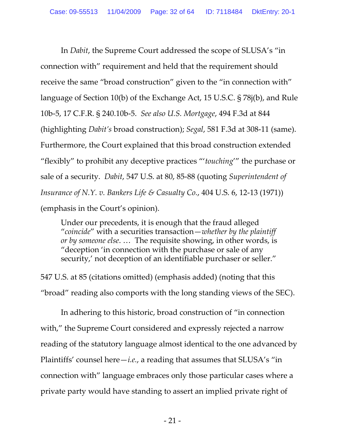In *Dabit*, the Supreme Court addressed the scope of SLUSA's "in connection with" requirement and held that the requirement should receive the same "broad construction" given to the "in connection with" language of Section 10(b) of the Exchange Act, 15 U.S.C. § 78j(b), and Rule 10b‐5, 17 C.F.R. § 240.10b‐5. *See also U.S. Mortgage*, 494 F.3d at 844 (highlighting *Dabit's* broad construction); *Segal*, 581 F.3d at 308‐11 (same). Furthermore, the Court explained that this broad construction extended "flexibly" to prohibit any deceptive practices "'*touching*'" the purchase or sale of a security. *Dabit*, 547 U.S. at 80, 85‐88 (quoting *Superintendent of Insurance of N.Y. v. Bankers Life & Casualty Co.*, 404 U.S. 6, 12‐13 (1971)) (emphasis in the Court's opinion).

Under our precedents, it is enough that the fraud alleged "*coincide*" with a securities transaction—*whether by the plaintiff or by someone else*. … The requisite showing, in other words, is "deception 'in connection with the purchase or sale of any security,' not deception of an identifiable purchaser or seller."

547 U.S. at 85 (citations omitted) (emphasis added) (noting that this "broad" reading also comports with the long standing views of the SEC).

In adhering to this historic, broad construction of "in connection with," the Supreme Court considered and expressly rejected a narrow reading of the statutory language almost identical to the one advanced by Plaintiffs' counsel here—*i.e.*, a reading that assumes that SLUSA's "in connection with" language embraces only those particular cases where a private party would have standing to assert an implied private right of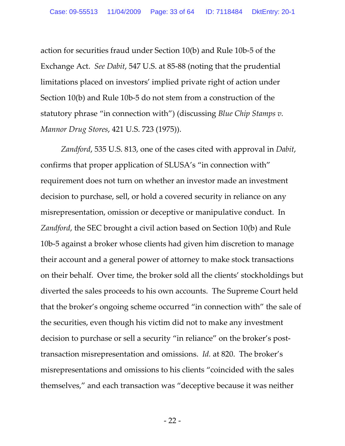action for securities fraud under Section 10(b) and Rule 10b‐5 of the Exchange Act. *See Dabit*, 547 U.S. at 85‐88 (noting that the prudential limitations placed on investors' implied private right of action under Section 10(b) and Rule 10b‐5 do not stem from a construction of the statutory phrase "in connection with") (discussing *Blue Chip Stamps v. Mannor Drug Stores*, 421 U.S. 723 (1975)).

*Zandford*, 535 U.S. 813, one of the cases cited with approval in *Dabit*, confirms that proper application of SLUSA's "in connection with" requirement does not turn on whether an investor made an investment decision to purchase, sell, or hold a covered security in reliance on any misrepresentation, omission or deceptive or manipulative conduct. In *Zandford*, the SEC brought a civil action based on Section 10(b) and Rule 10b‐5 against a broker whose clients had given him discretion to manage their account and a general power of attorney to make stock transactions on their behalf. Over time, the broker sold all the clients' stockholdings but diverted the sales proceeds to his own accounts. The Supreme Court held that the broker's ongoing scheme occurred "in connection with" the sale of the securities, even though his victim did not to make any investment decision to purchase or sell a security "in reliance" on the broker's posttransaction misrepresentation and omissions. *Id.* at 820. The broker's misrepresentations and omissions to his clients "coincided with the sales themselves," and each transaction was "deceptive because it was neither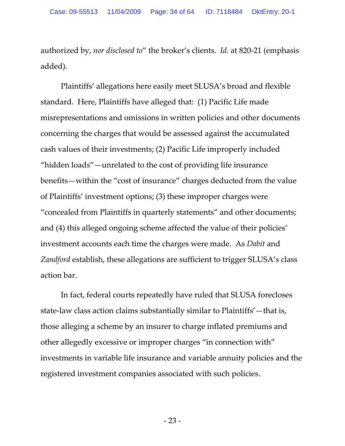authorized by, *nor disclosed to*" the broker's clients. *Id.* at 820‐21 (emphasis added).

Plaintiffs' allegations here easily meet SLUSA's broad and flexible standard. Here, Plaintiffs have alleged that: (1) Pacific Life made misrepresentations and omissions in written policies and other documents concerning the charges that would be assessed against the accumulated cash values of their investments; (2) Pacific Life improperly included "hidden loads"—unrelated to the cost of providing life insurance benefits—within the "cost of insurance" charges deducted from the value of Plaintiffs' investment options; (3) these improper charges were "concealed from Plaintiffs in quarterly statements" and other documents; and (4) this alleged ongoing scheme affected the value of their policies' investment accounts each time the charges were made. As *Dabit* and *Zandford* establish, these allegations are sufficient to trigger SLUSA's class action bar.

In fact, federal courts repeatedly have ruled that SLUSA forecloses state‐law class action claims substantially similar to Plaintiffs'—that is, those alleging a scheme by an insurer to charge inflated premiums and other allegedly excessive or improper charges "in connection with" investments in variable life insurance and variable annuity policies and the registered investment companies associated with such policies.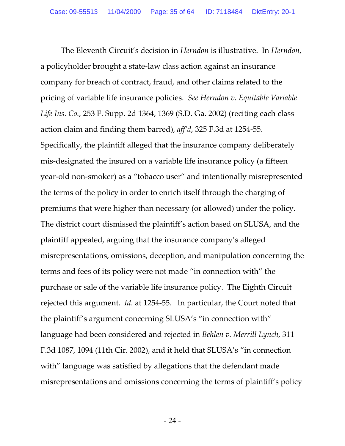The Eleventh Circuit's decision in *Herndon* is illustrative. In *Herndon*, a policyholder brought a state‐law class action against an insurance company for breach of contract, fraud, and other claims related to the pricing of variable life insurance policies. *See Herndon v. Equitable Variable Life Ins. Co.*, 253 F. Supp. 2d 1364, 1369 (S.D. Ga. 2002) (reciting each class action claim and finding them barred), *aff'd*, 325 F.3d at 1254‐55. Specifically, the plaintiff alleged that the insurance company deliberately mis‐designated the insured on a variable life insurance policy (a fifteen year-old non-smoker) as a "tobacco user" and intentionally misrepresented the terms of the policy in order to enrich itself through the charging of premiums that were higher than necessary (or allowed) under the policy. The district court dismissed the plaintiff's action based on SLUSA, and the plaintiff appealed, arguing that the insurance company's alleged misrepresentations, omissions, deception, and manipulation concerning the terms and fees of its policy were not made "in connection with" the purchase or sale of the variable life insurance policy. The Eighth Circuit rejected this argument. *Id.* at 1254‐55. In particular, the Court noted that the plaintiff's argument concerning SLUSA's "in connection with" language had been considered and rejected in *Behlen v. Merrill Lynch*, 311 F.3d 1087, 1094 (11th Cir. 2002), and it held that SLUSA's "in connection with" language was satisfied by allegations that the defendant made misrepresentations and omissions concerning the terms of plaintiff's policy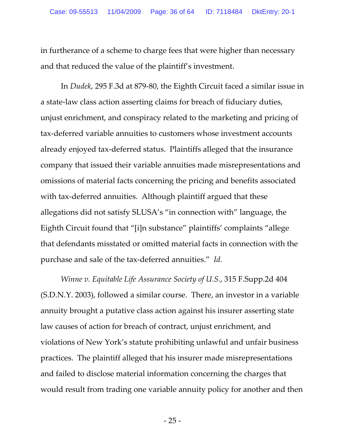in furtherance of a scheme to charge fees that were higher than necessary and that reduced the value of the plaintiff's investment.

In *Dudek*, 295 F.3d at 879‐80, the Eighth Circuit faced a similar issue in a state‐law class action asserting claims for breach of fiduciary duties, unjust enrichment, and conspiracy related to the marketing and pricing of tax‐deferred variable annuities to customers whose investment accounts already enjoyed tax‐deferred status. Plaintiffs alleged that the insurance company that issued their variable annuities made misrepresentations and omissions of material facts concerning the pricing and benefits associated with tax-deferred annuities. Although plaintiff argued that these allegations did not satisfy SLUSA's "in connection with" language, the Eighth Circuit found that "[i]n substance" plaintiffs' complaints "allege that defendants misstated or omitted material facts in connection with the purchase and sale of the tax‐deferred annuities." *Id.*

*Winne v. Equitable Life Assurance Society of U.S.*, 315 F.Supp.2d 404 (S.D.N.Y. 2003), followed a similar course. There, an investor in a variable annuity brought a putative class action against his insurer asserting state law causes of action for breach of contract, unjust enrichment, and violations of New York's statute prohibiting unlawful and unfair business practices. The plaintiff alleged that his insurer made misrepresentations and failed to disclose material information concerning the charges that would result from trading one variable annuity policy for another and then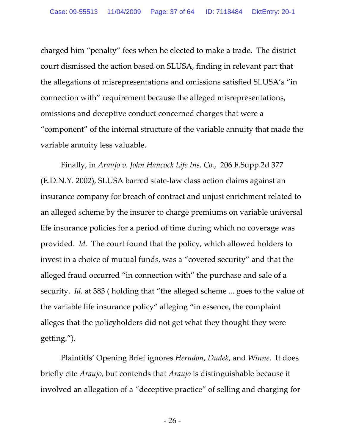charged him "penalty" fees when he elected to make a trade. The district court dismissed the action based on SLUSA, finding in relevant part that the allegations of misrepresentations and omissions satisfied SLUSA's "in connection with" requirement because the alleged misrepresentations, omissions and deceptive conduct concerned charges that were a "component" of the internal structure of the variable annuity that made the variable annuity less valuable.

Finally, in *Araujo v. John Hancock Life Ins. Co.*, 206 F.Supp.2d 377 (E.D.N.Y. 2002), SLUSA barred state‐law class action claims against an insurance company for breach of contract and unjust enrichment related to an alleged scheme by the insurer to charge premiums on variable universal life insurance policies for a period of time during which no coverage was provided. *Id.* The court found that the policy, which allowed holders to invest in a choice of mutual funds, was a "covered security" and that the alleged fraud occurred "in connection with" the purchase and sale of a security. *Id.* at 383 ( holding that "the alleged scheme ... goes to the value of the variable life insurance policy" alleging "in essence, the complaint alleges that the policyholders did not get what they thought they were getting.").

Plaintiffs' Opening Brief ignores *Herndon*, *Dudek*, and *Winne*. It does briefly cite *Araujo,* but contends that *Araujo* is distinguishable because it involved an allegation of a "deceptive practice" of selling and charging for

 $-26-$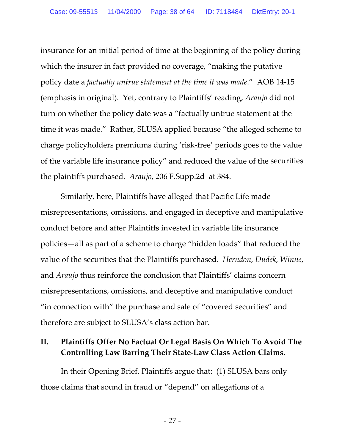insurance for an initial period of time at the beginning of the policy during which the insurer in fact provided no coverage, "making the putative policy date a *factually untrue statement at the time it was made*." AOB 14‐15 (emphasis in original). Yet, contrary to Plaintiffs' reading, *Araujo* did not turn on whether the policy date was a "factually untrue statement at the time it was made." Rather, SLUSA applied because "the alleged scheme to charge policyholders premiums during 'risk‐free' periods goes to the value of the variable life insurance policy" and reduced the value of the securities the plaintiffs purchased. *Araujo*, 206 F.Supp.2d at 384.

Similarly, here, Plaintiffs have alleged that Pacific Life made misrepresentations, omissions, and engaged in deceptive and manipulative conduct before and after Plaintiffs invested in variable life insurance policies—all as part of a scheme to charge "hidden loads" that reduced the value of the securities that the Plaintiffs purchased. *Herndon*, *Dudek*, *Winne*, and *Araujo* thus reinforce the conclusion that Plaintiffs' claims concern misrepresentations, omissions, and deceptive and manipulative conduct "in connection with" the purchase and sale of "covered securities" and therefore are subject to SLUSA's class action bar.

### **II. Plaintiffs Offer No Factual Or Legal Basis On Which To Avoid The Controlling Law Barring Their State‐Law Class Action Claims.**

In their Opening Brief, Plaintiffs argue that: (1) SLUSA bars only those claims that sound in fraud or "depend" on allegations of a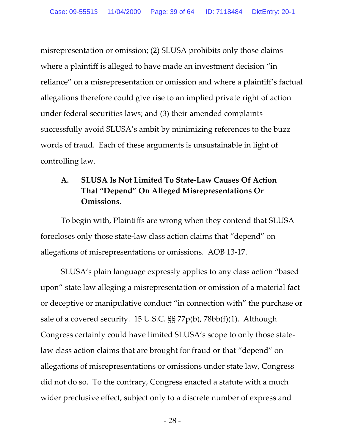misrepresentation or omission; (2) SLUSA prohibits only those claims where a plaintiff is alleged to have made an investment decision "in reliance" on a misrepresentation or omission and where a plaintiff's factual allegations therefore could give rise to an implied private right of action under federal securities laws; and (3) their amended complaints successfully avoid SLUSA's ambit by minimizing references to the buzz words of fraud. Each of these arguments is unsustainable in light of controlling law.

# **A. SLUSA Is Not Limited To State‐Law Causes Of Action That "Depend" On Alleged Misrepresentations Or Omissions.**

To begin with, Plaintiffs are wrong when they contend that SLUSA forecloses only those state‐law class action claims that "depend" on allegations of misrepresentations or omissions. AOB 13‐17.

SLUSA's plain language expressly applies to any class action "based upon" state law alleging a misrepresentation or omission of a material fact or deceptive or manipulative conduct "in connection with" the purchase or sale of a covered security. 15 U.S.C. §§ 77p(b), 78bb(f)(1). Although Congress certainly could have limited SLUSA's scope to only those state‐ law class action claims that are brought for fraud or that "depend" on allegations of misrepresentations or omissions under state law, Congress did not do so. To the contrary, Congress enacted a statute with a much wider preclusive effect, subject only to a discrete number of express and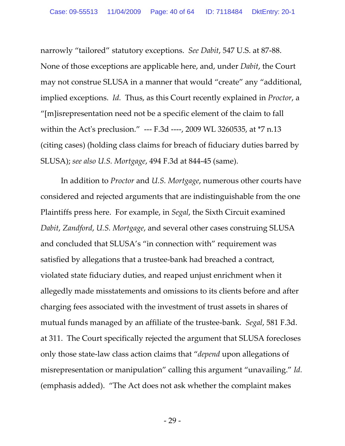narrowly "tailored" statutory exceptions. *See Dabit*, 547 U.S. at 87‐88. None of those exceptions are applicable here, and, under *Dabit*, the Court may not construe SLUSA in a manner that would "create" any "additional, implied exceptions. *Id.* Thus, as this Court recently explained in *Proctor*, a "[m]isrepresentation need not be a specific element of the claim to fall within the Act's preclusion." --- F.3d ----, 2009 WL 3260535, at \*7 n.13 (citing cases) (holding class claims for breach of fiduciary duties barred by SLUSA); *see also U.S. Mortgage*, 494 F.3d at 844‐45 (same).

In addition to *Proctor* and *U.S. Mortgage*, numerous other courts have considered and rejected arguments that are indistinguishable from the one Plaintiffs press here. For example, in *Segal*, the Sixth Circuit examined *Dabit*, *Zandford*, *U.S. Mortgage*, and several other cases construing SLUSA and concluded that SLUSA's "in connection with" requirement was satisfied by allegations that a trustee‐bank had breached a contract, violated state fiduciary duties, and reaped unjust enrichment when it allegedly made misstatements and omissions to its clients before and after charging fees associated with the investment of trust assets in shares of mutual funds managed by an affiliate of the trustee‐bank. *Segal*, 581 F.3d. at 311. The Court specifically rejected the argument that SLUSA forecloses only those state‐law class action claims that "*depend* upon allegations of misrepresentation or manipulation" calling this argument "unavailing." *Id.* (emphasis added). "The Act does not ask whether the complaint makes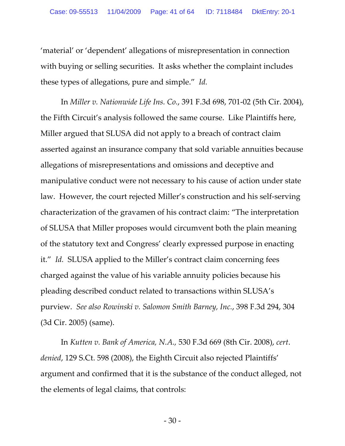'material' or 'dependent' allegations of misrepresentation in connection with buying or selling securities. It asks whether the complaint includes these types of allegations, pure and simple." *Id.*

In *Miller v. Nationwide Life Ins. Co.*, 391 F.3d 698, 701‐02 (5th Cir. 2004), the Fifth Circuit's analysis followed the same course. Like Plaintiffs here, Miller argued that SLUSA did not apply to a breach of contract claim asserted against an insurance company that sold variable annuities because allegations of misrepresentations and omissions and deceptive and manipulative conduct were not necessary to his cause of action under state law. However, the court rejected Miller's construction and his self‐serving characterization of the gravamen of his contract claim: "The interpretation of SLUSA that Miller proposes would circumvent both the plain meaning of the statutory text and Congress' clearly expressed purpose in enacting it." *Id.* SLUSA applied to the Miller's contract claim concerning fees charged against the value of his variable annuity policies because his pleading described conduct related to transactions within SLUSA's purview. *See also Rowinski v. Salomon Smith Barney, Inc.*, 398 F.3d 294, 304 (3d Cir. 2005) (same).

In *Kutten v. Bank of America, N.A.,* 530 F.3d 669 (8th Cir. 2008), *cert*. *denied*, 129 S.Ct. 598 (2008), the Eighth Circuit also rejected Plaintiffs' argument and confirmed that it is the substance of the conduct alleged, not the elements of legal claims, that controls: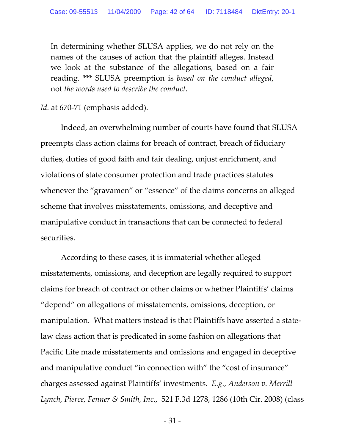In determining whether SLUSA applies, we do not rely on the names of the causes of action that the plaintiff alleges. Instead we look at the substance of the allegations, based on a fair reading. \*\*\* SLUSA preemption is *based on the conduct alleged*, not *the words used to describe the conduct*.

*Id.* at 670‐71 (emphasis added).

Indeed, an overwhelming number of courts have found that SLUSA preempts class action claims for breach of contract, breach of fiduciary duties, duties of good faith and fair dealing, unjust enrichment, and violations of state consumer protection and trade practices statutes whenever the "gravamen" or "essence" of the claims concerns an alleged scheme that involves misstatements, omissions, and deceptive and manipulative conduct in transactions that can be connected to federal securities.

According to these cases, it is immaterial whether alleged misstatements, omissions, and deception are legally required to support claims for breach of contract or other claims or whether Plaintiffs' claims "depend" on allegations of misstatements, omissions, deception, or manipulation. What matters instead is that Plaintiffs have asserted a state‐ law class action that is predicated in some fashion on allegations that Pacific Life made misstatements and omissions and engaged in deceptive and manipulative conduct "in connection with" the "cost of insurance" charges assessed against Plaintiffs' investments. *E.g.*, *Anderson v. Merrill Lynch, Pierce, Fenner & Smith, Inc.*, 521 F.3d 1278, 1286 (10th Cir. 2008) (class

 $-31-$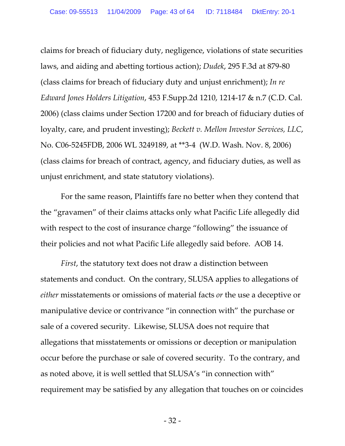claims for breach of fiduciary duty, negligence, violations of state securities laws, and aiding and abetting tortious action); *Dudek*, 295 F.3d at 879‐80 (class claims for breach of fiduciary duty and unjust enrichment); *In re Edward Jones Holders Litigation*, 453 F.Supp.2d 1210, 1214‐17 & n.7 (C.D. Cal. 2006) (class claims under Section 17200 and for breach of fiduciary duties of loyalty, care, and prudent investing); *Beckett v. Mellon Investor Services, LLC*, No. C06‐5245FDB, 2006 WL 3249189, at \*\*3‐4 (W.D. Wash. Nov. 8, 2006) (class claims for breach of contract, agency, and fiduciary duties, as well as unjust enrichment, and state statutory violations).

For the same reason, Plaintiffs fare no better when they contend that the "gravamen" of their claims attacks only what Pacific Life allegedly did with respect to the cost of insurance charge "following" the issuance of their policies and not what Pacific Life allegedly said before. AOB 14.

*First*, the statutory text does not draw a distinction between statements and conduct. On the contrary, SLUSA applies to allegations of *either* misstatements or omissions of material facts *or* the use a deceptive or manipulative device or contrivance "in connection with" the purchase or sale of a covered security. Likewise, SLUSA does not require that allegations that misstatements or omissions or deception or manipulation occur before the purchase or sale of covered security. To the contrary, and as noted above, it is well settled that SLUSA's "in connection with" requirement may be satisfied by any allegation that touches on or coincides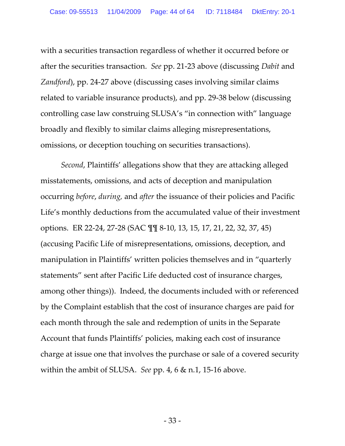with a securities transaction regardless of whether it occurred before or after the securities transaction. *See* pp. 21‐23 above (discussing *Dabit* and *Zandford*), pp. 24‐27 above (discussing cases involving similar claims related to variable insurance products), and pp. 29‐38 below (discussing controlling case law construing SLUSA's "in connection with" language broadly and flexibly to similar claims alleging misrepresentations, omissions, or deception touching on securities transactions).

*Second*, Plaintiffs' allegations show that they are attacking alleged misstatements, omissions, and acts of deception and manipulation occurring *before*, *during,* and *after* the issuance of their policies and Pacific Life's monthly deductions from the accumulated value of their investment options. ER 22‐24, 27‐28 (SAC ¶¶ 8‐10, 13, 15, 17, 21, 22, 32, 37, 45) (accusing Pacific Life of misrepresentations, omissions, deception, and manipulation in Plaintiffs' written policies themselves and in "quarterly statements" sent after Pacific Life deducted cost of insurance charges, among other things)). Indeed, the documents included with or referenced by the Complaint establish that the cost of insurance charges are paid for each month through the sale and redemption of units in the Separate Account that funds Plaintiffs' policies, making each cost of insurance charge at issue one that involves the purchase or sale of a covered security within the ambit of SLUSA. See pp. 4, 6 & n.1, 15-16 above.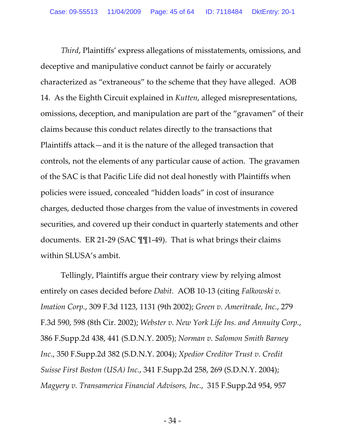*Third*, Plaintiffs' express allegations of misstatements, omissions, and deceptive and manipulative conduct cannot be fairly or accurately characterized as "extraneous" to the scheme that they have alleged. AOB 14. As the Eighth Circuit explained in *Kutten*, alleged misrepresentations, omissions, deception, and manipulation are part of the "gravamen" of their claims because this conduct relates directly to the transactions that Plaintiffs attack—and it is the nature of the alleged transaction that controls, not the elements of any particular cause of action. The gravamen of the SAC is that Pacific Life did not deal honestly with Plaintiffs when policies were issued, concealed "hidden loads" in cost of insurance charges, deducted those charges from the value of investments in covered securities, and covered up their conduct in quarterly statements and other documents. ER 21‐29 (SAC ¶¶1‐49). That is what brings their claims within SLUSA's ambit.

Tellingly, Plaintiffs argue their contrary view by relying almost entirely on cases decided before *Dabit.* AOB 10‐13 (citing *Falkowski v. Imation Corp.*, 309 F.3d 1123, 1131 (9th 2002); *Green v. Ameritrade, Inc.*, 279 F.3d 590, 598 (8th Cir. 2002); *Webster v. New York Life Ins. and Annuity Corp.*, 386 F.Supp.2d 438, 441 (S.D.N.Y. 2005); *Norman v. Salomon Smith Barney Inc.*, 350 F.Supp.2d 382 (S.D.N.Y. 2004); *Xpedior Creditor Trust v. Credit Suisse First Boston (USA) Inc.*, 341 F.Supp.2d 258, 269 (S.D.N.Y. 2004); *Magyery v. Transamerica Financial Advisors, Inc.*, 315 F.Supp.2d 954, 957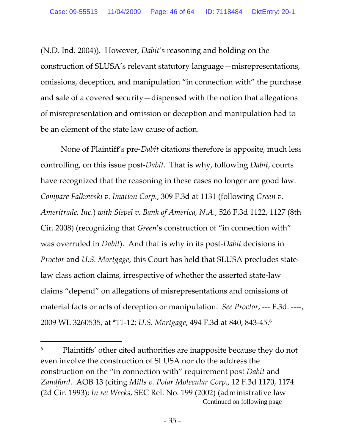(N.D. Ind. 2004)). However, *Dabit*'s reasoning and holding on the construction of SLUSA's relevant statutory language—misrepresentations, omissions, deception, and manipulation "in connection with" the purchase and sale of a covered security—dispensed with the notion that allegations of misrepresentation and omission or deception and manipulation had to be an element of the state law cause of action.

None of Plaintiff's pre‐*Dabit* citations therefore is apposite, much less controlling, on this issue post‐*Dabit*. That is why, following *Dabit*, courts have recognized that the reasoning in these cases no longer are good law. *Compare Falkowski v. Imation Corp.*, 309 F.3d at 1131 (following *Green v. Ameritrade, Inc.*) *with Siepel v. Bank of America, N.A.*, 526 F.3d 1122, 1127 (8th Cir. 2008) (recognizing that *Green*'s construction of "in connection with" was overruled in *Dabit*). And that is why in its post‐*Dabit* decisions in *Proctor* and *U.S. Mortgage*, this Court has held that SLUSA precludes state‐ law class action claims, irrespective of whether the asserted state‐law claims "depend" on allegations of misrepresentations and omissions of material facts or acts of deception or manipulation. *See Proctor*, ‐‐‐ F.3d. ‐‐‐‐, 2009 WL 3260535, at \*11‐12; *U.S. Mortgage*, 494 F.3d at 840, 843‐45.6

<sup>&</sup>lt;sup>6</sup> Plaintiffs' other cited authorities are inapposite because they do not even involve the construction of SLUSA nor do the address the construction on the "in connection with" requirement post *Dabit* and *Zandford*. AOB 13 (citing *Mills v. Polar Molecular Corp.*, 12 F.3d 1170, 1174 (2d Cir. 1993); *In re: Weeks*, SEC Rel. No. 199 (2002) (administrative law Continued on following page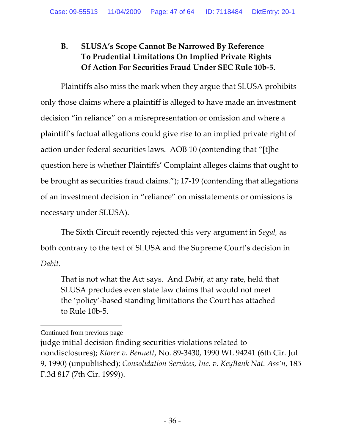# **B. SLUSA's Scope Cannot Be Narrowed By Reference To Prudential Limitations On Implied Private Rights Of Action For Securities Fraud Under SEC Rule 10b‐5.**

Plaintiffs also miss the mark when they argue that SLUSA prohibits only those claims where a plaintiff is alleged to have made an investment decision "in reliance" on a misrepresentation or omission and where a plaintiff's factual allegations could give rise to an implied private right of action under federal securities laws. AOB 10 (contending that "[t]he question here is whether Plaintiffs' Complaint alleges claims that ought to be brought as securities fraud claims."); 17‐19 (contending that allegations of an investment decision in "reliance" on misstatements or omissions is necessary under SLUSA).

The Sixth Circuit recently rejected this very argument in *Segal,* as both contrary to the text of SLUSA and the Supreme Court's decision in *Dabit*.

That is not what the Act says. And *Dabit*, at any rate, held that SLUSA precludes even state law claims that would not meet the 'policy'‐based standing limitations the Court has attached to Rule 10b‐5.

 $\overline{a}$ Continued from previous page

judge initial decision finding securities violations related to nondisclosures); *Klorer v. Bennett*, No. 89‐3430, 1990 WL 94241 (6th Cir. Jul 9, 1990) (unpublished); *Consolidation Services, Inc. v. KeyBank Nat. Ass'n*, 185 F.3d 817 (7th Cir. 1999)).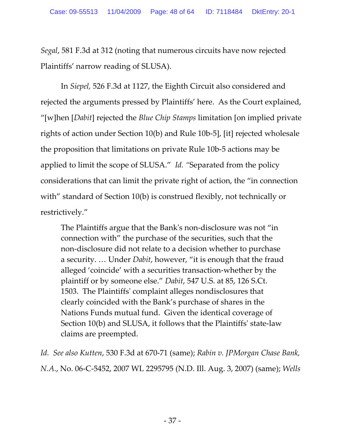*Segal*, 581 F.3d at 312 (noting that numerous circuits have now rejected Plaintiffs' narrow reading of SLUSA).

In *Siepel,* 526 F.3d at 1127, the Eighth Circuit also considered and rejected the arguments pressed by Plaintiffs' here. As the Court explained, "[w]hen [*Dabit*] rejected the *Blue Chip Stamps* limitation [on implied private rights of action under Section 10(b) and Rule 10b‐5], [it] rejected wholesale the proposition that limitations on private Rule 10b‐5 actions may be applied to limit the scope of SLUSA." *Id. "*Separated from the policy considerations that can limit the private right of action, the "in connection with" standard of Section 10(b) is construed flexibly, not technically or restrictively."

The Plaintiffs argue that the Bankʹs non‐disclosure was not "in connection with" the purchase of the securities, such that the non‐disclosure did not relate to a decision whether to purchase a security. … Under *Dabit*, however, "it is enough that the fraud alleged 'coincide' with a securities transaction‐whether by the plaintiff or by someone else." *Dabit*, 547 U.S. at 85, 126 S.Ct. 1503. The Plaintiffsʹ complaint alleges nondisclosures that clearly coincided with the Bank's purchase of shares in the Nations Funds mutual fund. Given the identical coverage of Section 10(b) and SLUSA, it follows that the Plaintiffsʹ state‐law claims are preempted.

*Id. See also Kutten*, 530 F.3d at 670‐71 (same); *Rabin v. JPMorgan Chase Bank, N.A.*, No. 06‐C‐5452, 2007 WL 2295795 (N.D. Ill. Aug. 3, 2007) (same); *Wells*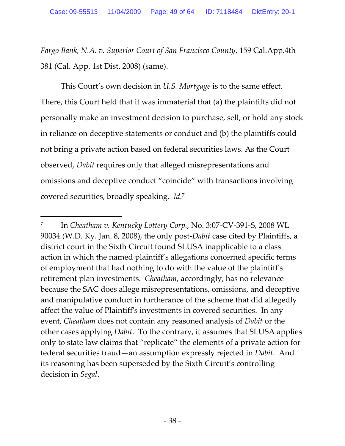*Fargo Bank, N.A. v. Superior Court of San Francisco County*, 159 Cal.App.4th 381 (Cal. App. 1st Dist. 2008) (same).

This Court's own decision in *U.S. Mortgage* is to the same effect. There, this Court held that it was immaterial that (a) the plaintiffs did not personally make an investment decision to purchase, sell, or hold any stock in reliance on deceptive statements or conduct and (b) the plaintiffs could not bring a private action based on federal securities laws. As the Court observed, *Dabit* requires only that alleged misrepresentations and omissions and deceptive conduct "coincide" with transactions involving covered securities, broadly speaking. *Id.*<sup>7</sup>

<sup>7</sup> In *Cheatham v. Kentucky Lottery Corp.*, No. 3:07‐CV‐391‐S, 2008 WL 90034 (W.D. Ky. Jan. 8, 2008), the only post‐*Dabit* case cited by Plaintiffs, a district court in the Sixth Circuit found SLUSA inapplicable to a class action in which the named plaintiff's allegations concerned specific terms of employment that had nothing to do with the value of the plaintiffʹs retirement plan investments. *Cheatham*, accordingly, has no relevance because the SAC does allege misrepresentations, omissions, and deceptive and manipulative conduct in furtherance of the scheme that did allegedly affect the value of Plaintiffʹs investments in covered securities. In any event, *Cheatham* does not contain any reasoned analysis of *Dabit* or the other cases applying *Dabit*. To the contrary, it assumes that SLUSA applies only to state law claims that "replicate" the elements of a private action for federal securities fraud—an assumption expressly rejected in *Dabit*. And its reasoning has been superseded by the Sixth Circuit's controlling decision in *Segal*.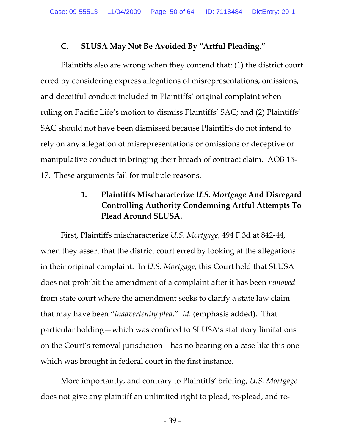### **C. SLUSA May Not Be Avoided By "Artful Pleading."**

Plaintiffs also are wrong when they contend that: (1) the district court erred by considering express allegations of misrepresentations, omissions, and deceitful conduct included in Plaintiffs' original complaint when ruling on Pacific Life's motion to dismiss Plaintiffs' SAC; and (2) Plaintiffs' SAC should not have been dismissed because Plaintiffs do not intend to rely on any allegation of misrepresentations or omissions or deceptive or manipulative conduct in bringing their breach of contract claim. AOB 15‐ 17. These arguments fail for multiple reasons.

# **1. Plaintiffs Mischaracterize** *U.S. Mortgage* **And Disregard Controlling Authority Condemning Artful Attempts To Plead Around SLUSA.**

First, Plaintiffs mischaracterize *U.S. Mortgage*, 494 F.3d at 842‐44, when they assert that the district court erred by looking at the allegations in their original complaint. In *U.S. Mortgage*, this Court held that SLUSA does not prohibit the amendment of a complaint after it has been *removed* from state court where the amendment seeks to clarify a state law claim that may have been "*inadvertently pled*." *Id.* (emphasis added). That particular holding—which was confined to SLUSA's statutory limitations on the Court's removal jurisdiction—has no bearing on a case like this one which was brought in federal court in the first instance.

More importantly, and contrary to Plaintiffs' briefing, *U.S. Mortgage* does not give any plaintiff an unlimited right to plead, re‐plead, and re‐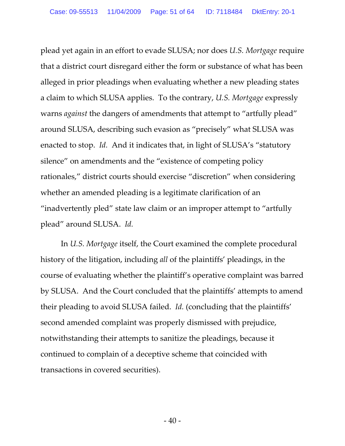plead yet again in an effort to evade SLUSA; nor does *U.S. Mortgage* require that a district court disregard either the form or substance of what has been alleged in prior pleadings when evaluating whether a new pleading states a claim to which SLUSA applies. To the contrary, *U.S. Mortgage* expressly warns *against* the dangers of amendments that attempt to "artfully plead" around SLUSA, describing such evasion as "precisely" what SLUSA was enacted to stop. *Id.* And it indicates that, in light of SLUSA's "statutory silence" on amendments and the "existence of competing policy rationales," district courts should exercise "discretion" when considering whether an amended pleading is a legitimate clarification of an "inadvertently pled" state law claim or an improper attempt to "artfully plead" around SLUSA. *Id.*

In *U.S. Mortgage* itself, the Court examined the complete procedural history of the litigation, including *all* of the plaintiffs' pleadings, in the course of evaluating whether the plaintiff's operative complaint was barred by SLUSA. And the Court concluded that the plaintiffs' attempts to amend their pleading to avoid SLUSA failed. *Id.* (concluding that the plaintiffs' second amended complaint was properly dismissed with prejudice, notwithstanding their attempts to sanitize the pleadings, because it continued to complain of a deceptive scheme that coincided with transactions in covered securities).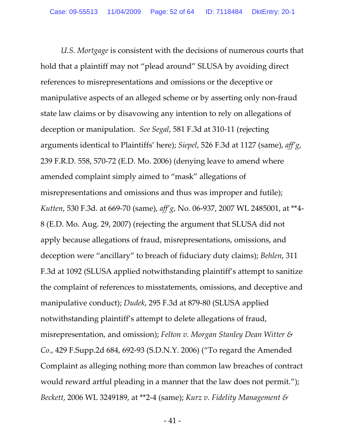*U.S. Mortgage* is consistent with the decisions of numerous courts that hold that a plaintiff may not "plead around" SLUSA by avoiding direct references to misrepresentations and omissions or the deceptive or manipulative aspects of an alleged scheme or by asserting only non‐fraud state law claims or by disavowing any intention to rely on allegations of deception or manipulation. *See Segal*, 581 F.3d at 310‐11 (rejecting arguments identical to Plaintiffs' here); *Siepel*, 526 F.3d at 1127 (same), *aff'g*, 239 F.R.D. 558, 570‐72 (E.D. Mo. 2006) (denying leave to amend where amended complaint simply aimed to "mask" allegations of misrepresentations and omissions and thus was improper and futile); *Kutten*, 530 F.3d. at 669‐70 (same), *aff'g*, No. 06‐937, 2007 WL 2485001, at \*\*4‐ 8 (E.D. Mo. Aug. 29, 2007) (rejecting the argument that SLUSA did not apply because allegations of fraud, misrepresentations, omissions, and deception were "ancillary" to breach of fiduciary duty claims); *Behlen*, 311 F.3d at 1092 (SLUSA applied notwithstanding plaintiff's attempt to sanitize the complaint of references to misstatements, omissions, and deceptive and manipulative conduct); *Dudek*, 295 F.3d at 879‐80 (SLUSA applied notwithstanding plaintiff's attempt to delete allegations of fraud, misrepresentation, and omission); *Felton v. Morgan Stanley Dean Witter & Co.*, 429 F.Supp.2d 684, 692‐93 (S.D.N.Y. 2006) ("To regard the Amended Complaint as alleging nothing more than common law breaches of contract would reward artful pleading in a manner that the law does not permit."); *Beckett*, 2006 WL 3249189, at \*\*2‐4 (same); *Kurz v. Fidelity Management &*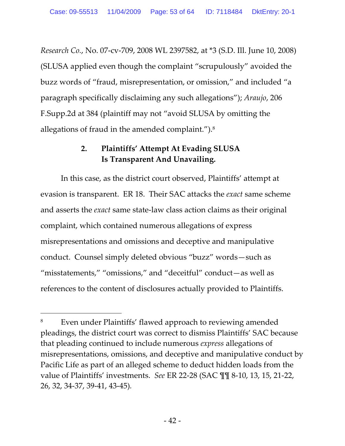*Research Co.*, No. 07‐cv‐709, 2008 WL 2397582, at \*3 (S.D. Ill. June 10, 2008) (SLUSA applied even though the complaint "scrupulously" avoided the buzz words of "fraud, misrepresentation, or omission," and included "a paragraph specifically disclaiming any such allegations"); *Araujo*, 206 F.Supp.2d at 384 (plaintiff may not "avoid SLUSA by omitting the allegations of fraud in the amended complaint.").8

# **2. Plaintiffs' Attempt At Evading SLUSA Is Transparent And Unavailing.**

In this case, as the district court observed, Plaintiffs' attempt at evasion is transparent. ER 18. Their SAC attacks the *exact* same scheme and asserts the *exact* same state‐law class action claims as their original complaint, which contained numerous allegations of express misrepresentations and omissions and deceptive and manipulative conduct. Counsel simply deleted obvious "buzz" words—such as "misstatements," "omissions," and "deceitful" conduct—as well as references to the content of disclosures actually provided to Plaintiffs.

<sup>&</sup>lt;sup>8</sup> Even under Plaintiffs' flawed approach to reviewing amended pleadings, the district court was correct to dismiss Plaintiffs' SAC because that pleading continued to include numerous *express* allegations of misrepresentations, omissions, and deceptive and manipulative conduct by Pacific Life as part of an alleged scheme to deduct hidden loads from the value of Plaintiffs' investments. *See* ER 22‐28 (SAC ¶¶ 8‐10, 13, 15, 21‐22, 26, 32, 34‐37, 39‐41, 43‐45)*.*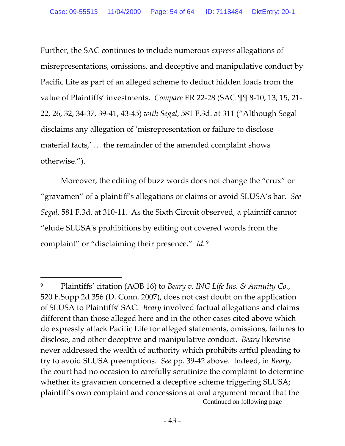Further, the SAC continues to include numerous *express* allegations of misrepresentations, omissions, and deceptive and manipulative conduct by Pacific Life as part of an alleged scheme to deduct hidden loads from the value of Plaintiffs' investments. *Compare* ER 22‐28 (SAC ¶¶ 8‐10, 13, 15, 21‐ 22, 26, 32, 34‐37, 39‐41, 43‐45) *with Segal*, 581 F.3d. at 311 ("Although Segal disclaims any allegation of 'misrepresentation or failure to disclose material facts,' … the remainder of the amended complaint shows otherwise.").

Moreover, the editing of buzz words does not change the "crux" or "gravamen" of a plaintiff's allegations or claims or avoid SLUSA's bar. *See Segal*, 581 F.3d. at 310‐11. As the Sixth Circuit observed, a plaintiff cannot "elude SLUSAʹs prohibitions by editing out covered words from the complaint" or "disclaiming their presence." *Id.* <sup>9</sup>

<sup>9</sup> Plaintiffs' citation (AOB 16) to *Beary v. ING Life Ins. & Annuity Co.*, 520 F.Supp.2d 356 (D. Conn. 2007), does not cast doubt on the application of SLUSA to Plaintiffs' SAC. *Beary* involved factual allegations and claims different than those alleged here and in the other cases cited above which do expressly attack Pacific Life for alleged statements, omissions, failures to disclose, and other deceptive and manipulative conduct. *Beary* likewise never addressed the wealth of authority which prohibits artful pleading to try to avoid SLUSA preemptions. *See* pp. 39‐42 above. Indeed, in *Beary*, the court had no occasion to carefully scrutinize the complaint to determine whether its gravamen concerned a deceptive scheme triggering SLUSA; plaintiff's own complaint and concessions at oral argument meant that the Continued on following page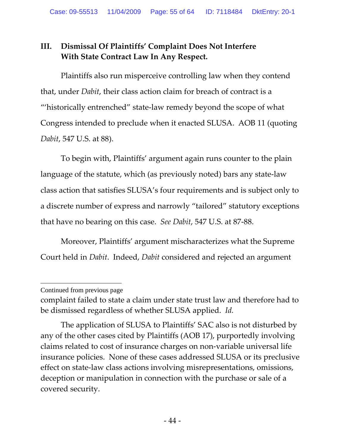# **III. Dismissal Of Plaintiffs' Complaint Does Not Interfere With State Contract Law In Any Respect.**

Plaintiffs also run misperceive controlling law when they contend that, under *Dabit*, their class action claim for breach of contract is a "'historically entrenched" state‐law remedy beyond the scope of what Congress intended to preclude when it enacted SLUSA. AOB 11 (quoting *Dabit*, 547 U.S. at 88).

To begin with, Plaintiffs' argument again runs counter to the plain language of the statute, which (as previously noted) bars any state‐law class action that satisfies SLUSA's four requirements and is subject only to a discrete number of express and narrowly "tailored" statutory exceptions that have no bearing on this case. *See Dabit*, 547 U.S. at 87‐88.

Moreover, Plaintiffs' argument mischaracterizes what the Supreme Court held in *Dabit*. Indeed, *Dabit* considered and rejected an argument

Continued from previous page

complaint failed to state a claim under state trust law and therefore had to be dismissed regardless of whether SLUSA applied. *Id.*

The application of SLUSA to Plaintiffs' SAC also is not disturbed by any of the other cases cited by Plaintiffs (AOB 17), purportedly involving claims related to cost of insurance charges on non‐variable universal life insurance policies. None of these cases addressed SLUSA or its preclusive effect on state‐law class actions involving misrepresentations, omissions, deception or manipulation in connection with the purchase or sale of a covered security.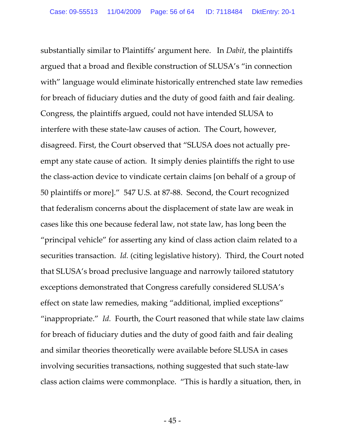substantially similar to Plaintiffs' argument here. In *Dabit*, the plaintiffs argued that a broad and flexible construction of SLUSA's "in connection with" language would eliminate historically entrenched state law remedies for breach of fiduciary duties and the duty of good faith and fair dealing. Congress, the plaintiffs argued, could not have intended SLUSA to interfere with these state‐law causes of action. The Court, however, disagreed. First, the Court observed that "SLUSA does not actually pre‐ empt any state cause of action. It simply denies plaintiffs the right to use the class‐action device to vindicate certain claims [on behalf of a group of 50 plaintiffs or more]." 547 U.S. at 87‐88. Second, the Court recognized that federalism concerns about the displacement of state law are weak in cases like this one because federal law, not state law, has long been the "principal vehicle" for asserting any kind of class action claim related to a securities transaction. *Id.* (citing legislative history). Third, the Court noted that SLUSA's broad preclusive language and narrowly tailored statutory exceptions demonstrated that Congress carefully considered SLUSA's effect on state law remedies, making "additional, implied exceptions" "inappropriate." *Id.* Fourth, the Court reasoned that while state law claims for breach of fiduciary duties and the duty of good faith and fair dealing and similar theories theoretically were available before SLUSA in cases involving securities transactions, nothing suggested that such state‐law class action claims were commonplace. "This is hardly a situation, then, in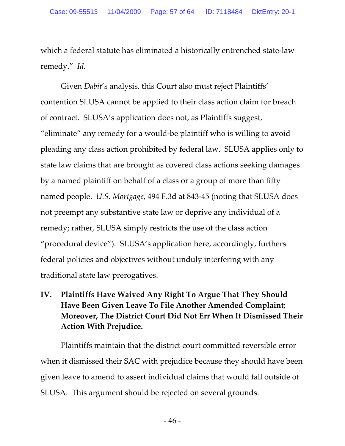which a federal statute has eliminated a historically entrenched state‐law remedy." *Id.*

Given *Dabit*'s analysis, this Court also must reject Plaintiffs' contention SLUSA cannot be applied to their class action claim for breach of contract. SLUSA's application does not, as Plaintiffs suggest, "eliminate" any remedy for a would‐be plaintiff who is willing to avoid pleading any class action prohibited by federal law. SLUSA applies only to state law claims that are brought as covered class actions seeking damages by a named plaintiff on behalf of a class or a group of more than fifty named people. *U.S. Mortgage*, 494 F.3d at 843‐45 (noting that SLUSA does not preempt any substantive state law or deprive any individual of a remedy; rather, SLUSA simply restricts the use of the class action "procedural device"). SLUSA's application here, accordingly, furthers federal policies and objectives without unduly interfering with any traditional state law prerogatives.

# **IV. Plaintiffs Have Waived Any Right To Argue That They Should Have Been Given Leave To File Another Amended Complaint; Moreover, The District Court Did Not Err When It Dismissed Their Action With Prejudice.**

Plaintiffs maintain that the district court committed reversible error when it dismissed their SAC with prejudice because they should have been given leave to amend to assert individual claims that would fall outside of SLUSA. This argument should be rejected on several grounds.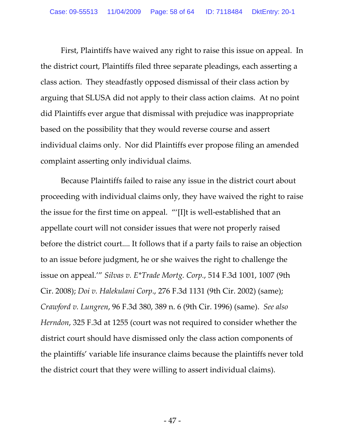First, Plaintiffs have waived any right to raise this issue on appeal. In the district court, Plaintiffs filed three separate pleadings, each asserting a class action. They steadfastly opposed dismissal of their class action by arguing that SLUSA did not apply to their class action claims. At no point did Plaintiffs ever argue that dismissal with prejudice was inappropriate based on the possibility that they would reverse course and assert individual claims only. Nor did Plaintiffs ever propose filing an amended complaint asserting only individual claims.

Because Plaintiffs failed to raise any issue in the district court about proceeding with individual claims only, they have waived the right to raise the issue for the first time on appeal. "'[I]t is well‐established that an appellate court will not consider issues that were not properly raised before the district court.... It follows that if a party fails to raise an objection to an issue before judgment, he or she waives the right to challenge the issue on appeal.'" *Silvas v. E\*Trade Mortg. Corp.*, 514 F.3d 1001, 1007 (9th Cir. 2008); *Doi v. Halekulani Corp*., 276 F.3d 1131 (9th Cir. 2002) (same); *Crawford v. Lungren*, 96 F.3d 380, 389 n. 6 (9th Cir. 1996) (same). *See also Herndon*, 325 F.3d at 1255 (court was not required to consider whether the district court should have dismissed only the class action components of the plaintiffs' variable life insurance claims because the plaintiffs never told the district court that they were willing to assert individual claims).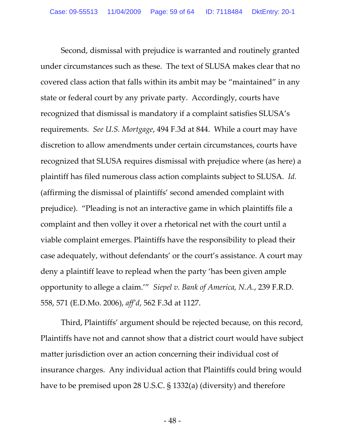Second, dismissal with prejudice is warranted and routinely granted under circumstances such as these. The text of SLUSA makes clear that no covered class action that falls within its ambit may be "maintained" in any state or federal court by any private party. Accordingly, courts have recognized that dismissal is mandatory if a complaint satisfies SLUSA's requirements. *See U.S. Mortgage*, 494 F.3d at 844. While a court may have discretion to allow amendments under certain circumstances, courts have recognized that SLUSA requires dismissal with prejudice where (as here) a plaintiff has filed numerous class action complaints subject to SLUSA. *Id.* (affirming the dismissal of plaintiffs' second amended complaint with prejudice). "Pleading is not an interactive game in which plaintiffs file a complaint and then volley it over a rhetorical net with the court until a viable complaint emerges. Plaintiffs have the responsibility to plead their case adequately, without defendants' or the court's assistance. A court may deny a plaintiff leave to replead when the party 'has been given ample opportunity to allege a claim.'" *Siepel v. Bank of America, N.A.*, 239 F.R.D. 558, 571 (E.D.Mo. 2006), *aff'd*, 562 F.3d at 1127.

Third, Plaintiffs' argument should be rejected because, on this record, Plaintiffs have not and cannot show that a district court would have subject matter jurisdiction over an action concerning their individual cost of insurance charges. Any individual action that Plaintiffs could bring would have to be premised upon 28 U.S.C. § 1332(a) (diversity) and therefore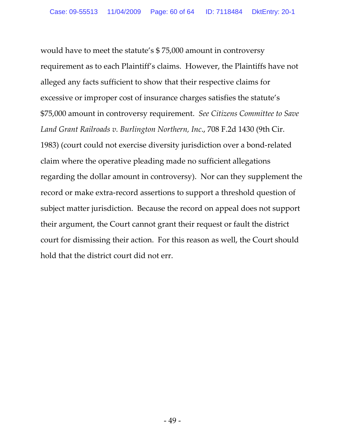would have to meet the statute's \$ 75,000 amount in controversy requirement as to each Plaintiff's claims. However, the Plaintiffs have not alleged any facts sufficient to show that their respective claims for excessive or improper cost of insurance charges satisfies the statute's \$75,000 amount in controversy requirement. *See Citizens Committee to Save Land Grant Railroads v. Burlington Northern, Inc*., 708 F.2d 1430 (9th Cir. 1983) (court could not exercise diversity jurisdiction over a bond‐related claim where the operative pleading made no sufficient allegations regarding the dollar amount in controversy). Nor can they supplement the record or make extra‐record assertions to support a threshold question of subject matter jurisdiction. Because the record on appeal does not support their argument, the Court cannot grant their request or fault the district court for dismissing their action. For this reason as well, the Court should hold that the district court did not err.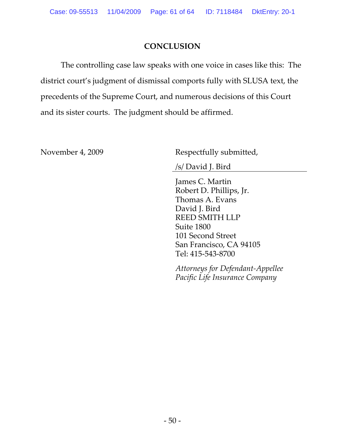### **CONCLUSION**

The controlling case law speaks with one voice in cases like this: The district court's judgment of dismissal comports fully with SLUSA text, the precedents of the Supreme Court, and numerous decisions of this Court and its sister courts. The judgment should be affirmed.

November 4, 2009 Respectfully submitted,

/s/ David J. Bird

James C. Martin Robert D. Phillips, Jr. Thomas A. Evans David J. Bird REED SMITH LLP Suite 1800 101 Second Street San Francisco, CA 94105 Tel: 415‐543‐8700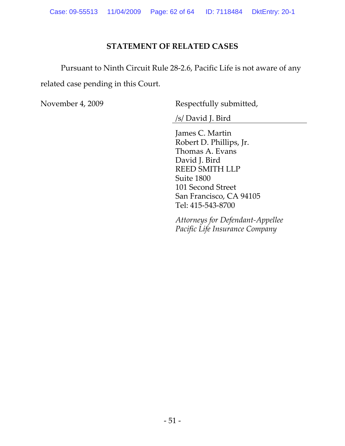### **STATEMENT OF RELATED CASES**

Pursuant to Ninth Circuit Rule 28‐2.6, Pacific Life is not aware of any related case pending in this Court.

November 4, 2009 Respectfully submitted,

/s/ David J. Bird

James C. Martin Robert D. Phillips, Jr. Thomas A. Evans David J. Bird REED SMITH LLP Suite 1800 101 Second Street San Francisco, CA 94105 Tel: 415‐543‐8700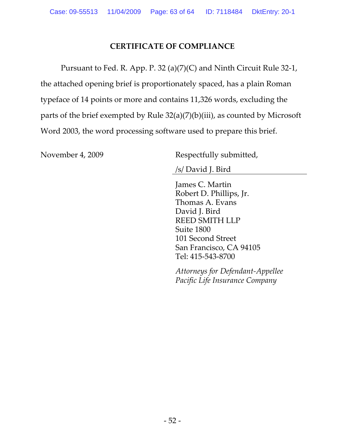### **CERTIFICATE OF COMPLIANCE**

Pursuant to Fed. R. App. P. 32 (a)(7)(C) and Ninth Circuit Rule 32‐1, the attached opening brief is proportionately spaced, has a plain Roman typeface of 14 points or more and contains 11,326 words, excluding the parts of the brief exempted by Rule 32(a)(7)(b)(iii), as counted by Microsoft Word 2003, the word processing software used to prepare this brief.

November 4, 2009 Respectfully submitted,

/s/ David J. Bird

James C. Martin Robert D. Phillips, Jr. Thomas A. Evans David J. Bird REED SMITH LLP Suite 1800 101 Second Street San Francisco, CA 94105 Tel: 415‐543‐8700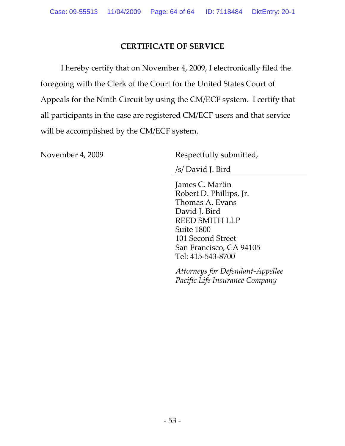### **CERTIFICATE OF SERVICE**

I hereby certify that on November 4, 2009, I electronically filed the foregoing with the Clerk of the Court for the United States Court of Appeals for the Ninth Circuit by using the CM/ECF system. I certify that all participants in the case are registered CM/ECF users and that service will be accomplished by the CM/ECF system.

November 4, 2009 Respectfully submitted,

/s/ David J. Bird

James C. Martin Robert D. Phillips, Jr. Thomas A. Evans David J. Bird REED SMITH LLP Suite 1800 101 Second Street San Francisco, CA 94105 Tel: 415‐543‐8700